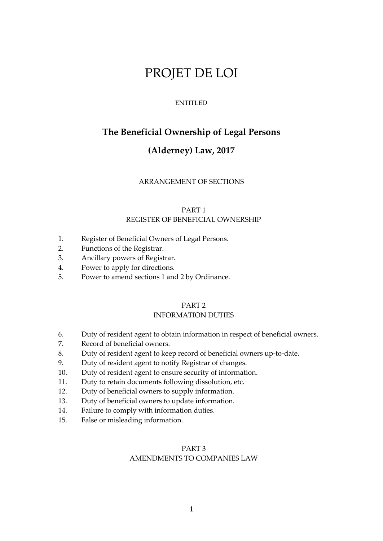# PROJET DE LOI

### ENTITLED

# **The Beneficial Ownership of Legal Persons**

# **(Alderney) Law, 2017**

### ARRANGEMENT OF SECTIONS

# PART 1 REGISTER OF BENEFICIAL OWNERSHIP

- 1. Register of Beneficial Owners of Legal Persons.
- 2. Functions of the Registrar.
- 3. Ancillary powers of Registrar.
- 4. Power to apply for directions.
- 5. Power to amend sections 1 and 2 by Ordinance.

# PART 2

# INFORMATION DUTIES

- 6. Duty of resident agent to obtain information in respect of beneficial owners.
- 7. Record of beneficial owners.
- 8. Duty of resident agent to keep record of beneficial owners up-to-date.
- 9. Duty of resident agent to notify Registrar of changes.
- 10. Duty of resident agent to ensure security of information.
- 11. Duty to retain documents following dissolution, etc.
- 12. Duty of beneficial owners to supply information.
- 13. Duty of beneficial owners to update information.
- 14. Failure to comply with information duties.
- 15. False or misleading information.

# PART 3 AMENDMENTS TO COMPANIES LAW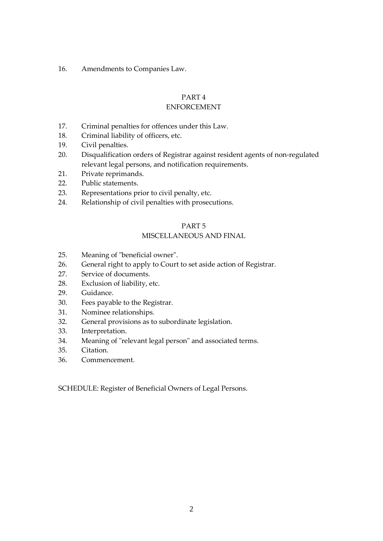16. Amendments to Companies Law.

# PART 4

# ENFORCEMENT

- 17. Criminal penalties for offences under this Law.
- 18. Criminal liability of officers, etc.
- 19. Civil penalties.
- 20. Disqualification orders of Registrar against resident agents of non-regulated relevant legal persons, and notification requirements.
- 21. Private reprimands.
- 22. Public statements.
- 23. Representations prior to civil penalty, etc.
- 24. Relationship of civil penalties with prosecutions.

# PART 5

# MISCELLANEOUS AND FINAL

- 25. Meaning of "beneficial owner".
- 26. General right to apply to Court to set aside action of Registrar.
- 27. Service of documents.
- 28. Exclusion of liability, etc.
- 29. Guidance.
- 30. Fees payable to the Registrar.
- 31. Nominee relationships.
- 32. General provisions as to subordinate legislation.
- 33. Interpretation.
- 34. Meaning of "relevant legal person" and associated terms.
- 35. Citation.
- 36. Commencement.

SCHEDULE: Register of Beneficial Owners of Legal Persons.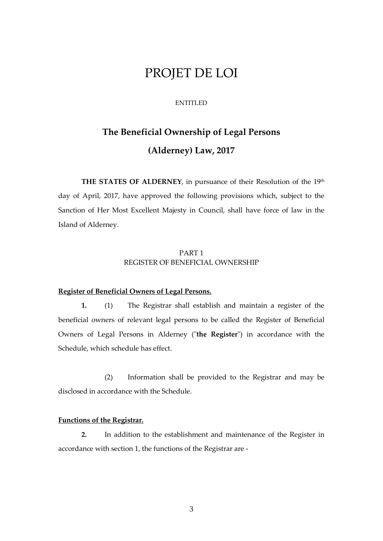# PROJET DE LOI

### ENTITLED

# **The Beneficial Ownership of Legal Persons (Alderney) Law, 2017**

**THE STATES OF ALDERNEY**, in pursuance of their Resolution of the 19th day of April, 2017, have approved the following provisions which, subject to the Sanction of Her Most Excellent Majesty in Council, shall have force of law in the Island of Alderney.

# PART 1 REGISTER OF BENEFICIAL OWNERSHIP

## **Register of Beneficial Owners of Legal Persons.**

**1.** (1) The Registrar shall establish and maintain a register of the beneficial owners of relevant legal persons to be called the Register of Beneficial Owners of Legal Persons in Alderney ("**the Register**") in accordance with the Schedule, which schedule has effect.

(2) Information shall be provided to the Registrar and may be disclosed in accordance with the Schedule.

### **Functions of the Registrar.**

**2.** In addition to the establishment and maintenance of the Register in accordance with section 1, the functions of the Registrar are -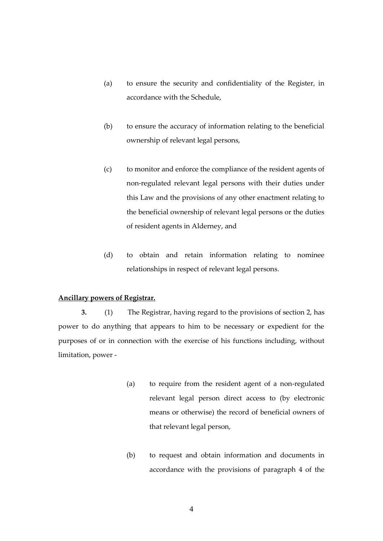- (a) to ensure the security and confidentiality of the Register, in accordance with the Schedule,
- (b) to ensure the accuracy of information relating to the beneficial ownership of relevant legal persons,
- (c) to monitor and enforce the compliance of the resident agents of non-regulated relevant legal persons with their duties under this Law and the provisions of any other enactment relating to the beneficial ownership of relevant legal persons or the duties of resident agents in Alderney, and
- (d) to obtain and retain information relating to nominee relationships in respect of relevant legal persons.

### **Ancillary powers of Registrar.**

**3.** (1) The Registrar, having regard to the provisions of section 2, has power to do anything that appears to him to be necessary or expedient for the purposes of or in connection with the exercise of his functions including, without limitation, power -

- (a) to require from the resident agent of a non-regulated relevant legal person direct access to (by electronic means or otherwise) the record of beneficial owners of that relevant legal person,
- (b) to request and obtain information and documents in accordance with the provisions of paragraph 4 of the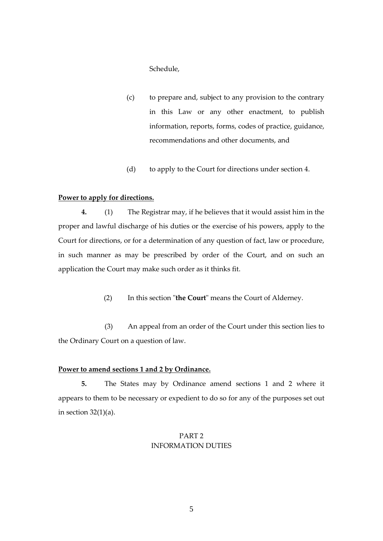Schedule,

- (c) to prepare and, subject to any provision to the contrary in this Law or any other enactment, to publish information, reports, forms, codes of practice, guidance, recommendations and other documents, and
- (d) to apply to the Court for directions under section 4.

### **Power to apply for directions.**

**4.** (1) The Registrar may, if he believes that it would assist him in the proper and lawful discharge of his duties or the exercise of his powers, apply to the Court for directions, or for a determination of any question of fact, law or procedure, in such manner as may be prescribed by order of the Court, and on such an application the Court may make such order as it thinks fit.

(2) In this section "**the Court**" means the Court of Alderney.

(3) An appeal from an order of the Court under this section lies to the Ordinary Court on a question of law.

### **Power to amend sections 1 and 2 by Ordinance.**

**5.** The States may by Ordinance amend sections 1 and 2 where it appears to them to be necessary or expedient to do so for any of the purposes set out in section  $32(1)(a)$ .

# PART 2 INFORMATION DUTIES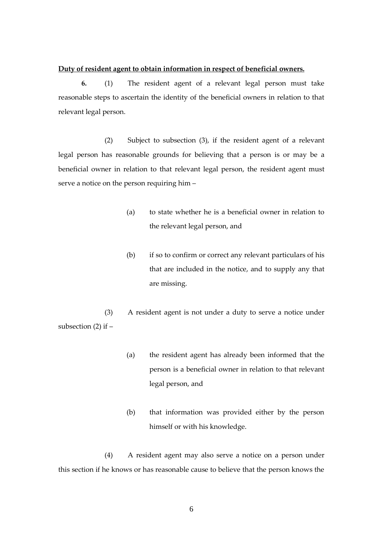### **Duty of resident agent to obtain information in respect of beneficial owners.**

**6.** (1) The resident agent of a relevant legal person must take reasonable steps to ascertain the identity of the beneficial owners in relation to that relevant legal person.

(2) Subject to subsection (3), if the resident agent of a relevant legal person has reasonable grounds for believing that a person is or may be a beneficial owner in relation to that relevant legal person, the resident agent must serve a notice on the person requiring him –

- (a) to state whether he is a beneficial owner in relation to the relevant legal person, and
- (b) if so to confirm or correct any relevant particulars of his that are included in the notice, and to supply any that are missing.

(3) A resident agent is not under a duty to serve a notice under subsection  $(2)$  if  $-$ 

- (a) the resident agent has already been informed that the person is a beneficial owner in relation to that relevant legal person, and
- (b) that information was provided either by the person himself or with his knowledge.

(4) A resident agent may also serve a notice on a person under this section if he knows or has reasonable cause to believe that the person knows the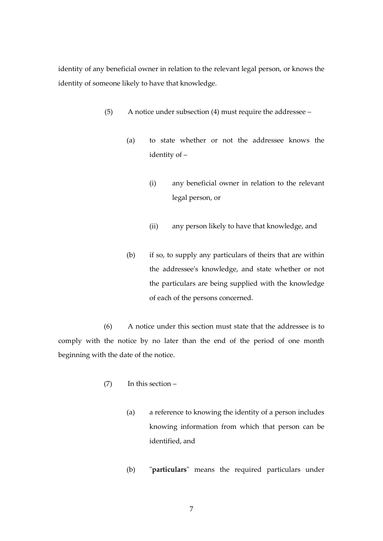identity of any beneficial owner in relation to the relevant legal person, or knows the identity of someone likely to have that knowledge.

- (5) A notice under subsection (4) must require the addressee
	- (a) to state whether or not the addressee knows the identity of –
		- (i) any beneficial owner in relation to the relevant legal person, or
		- (ii) any person likely to have that knowledge, and
	- (b) if so, to supply any particulars of theirs that are within the addressee's knowledge, and state whether or not the particulars are being supplied with the knowledge of each of the persons concerned.

(6) A notice under this section must state that the addressee is to comply with the notice by no later than the end of the period of one month beginning with the date of the notice.

- (7) In this section
	- (a) a reference to knowing the identity of a person includes knowing information from which that person can be identified, and
	- (b) "**particulars**" means the required particulars under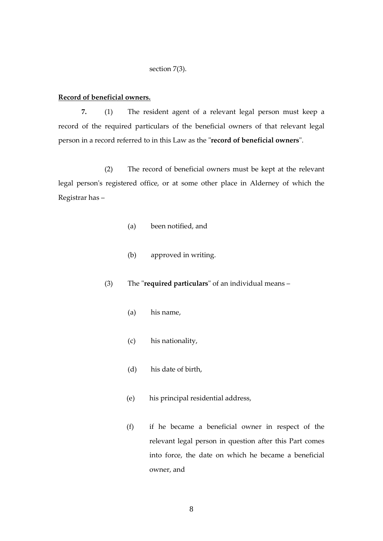### section 7(3).

### **Record of beneficial owners.**

**7.** (1) The resident agent of a relevant legal person must keep a record of the required particulars of the beneficial owners of that relevant legal person in a record referred to in this Law as the "**record of beneficial owners**".

(2) The record of beneficial owners must be kept at the relevant legal person's registered office, or at some other place in Alderney of which the Registrar has –

- (a) been notified, and
- (b) approved in writing.

(3) The "**required particulars**" of an individual means –

- (a) his name,
- (c) his nationality,
- (d) his date of birth,
- (e) his principal residential address,
- (f) if he became a beneficial owner in respect of the relevant legal person in question after this Part comes into force, the date on which he became a beneficial owner, and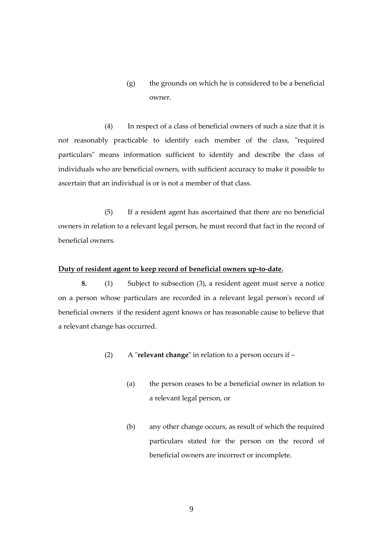$(g)$  the grounds on which he is considered to be a beneficial owner.

(4) In respect of a class of beneficial owners of such a size that it is not reasonably practicable to identify each member of the class, "required particulars" means information sufficient to identify and describe the class of individuals who are beneficial owners, with sufficient accuracy to make it possible to ascertain that an individual is or is not a member of that class.

(5) If a resident agent has ascertained that there are no beneficial owners in relation to a relevant legal person, he must record that fact in the record of beneficial owners.

## **Duty of resident agent to keep record of beneficial owners up-to-date.**

**8.** (1) Subject to subsection (3), a resident agent must serve a notice on a person whose particulars are recorded in a relevant legal person's record of beneficial owners if the resident agent knows or has reasonable cause to believe that a relevant change has occurred.

- (2) A "**relevant change**" in relation to a person occurs if
	- (a) the person ceases to be a beneficial owner in relation to a relevant legal person, or
	- (b) any other change occurs, as result of which the required particulars stated for the person on the record of beneficial owners are incorrect or incomplete.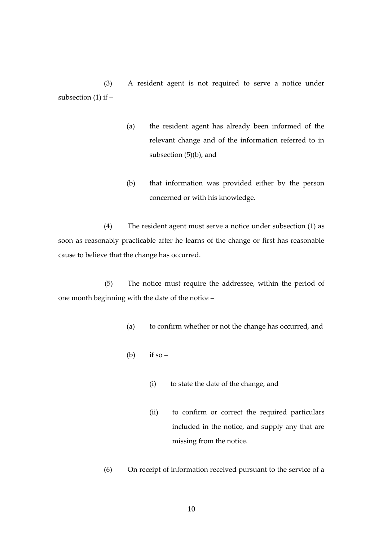(3) A resident agent is not required to serve a notice under subsection  $(1)$  if  $-$ 

- (a) the resident agent has already been informed of the relevant change and of the information referred to in subsection (5)(b), and
- (b) that information was provided either by the person concerned or with his knowledge.

(4) The resident agent must serve a notice under subsection (1) as soon as reasonably practicable after he learns of the change or first has reasonable cause to believe that the change has occurred.

(5) The notice must require the addressee, within the period of one month beginning with the date of the notice –

- (a) to confirm whether or not the change has occurred, and
- (b) if so
	- (i) to state the date of the change, and
	- (ii) to confirm or correct the required particulars included in the notice, and supply any that are missing from the notice.
- (6) On receipt of information received pursuant to the service of a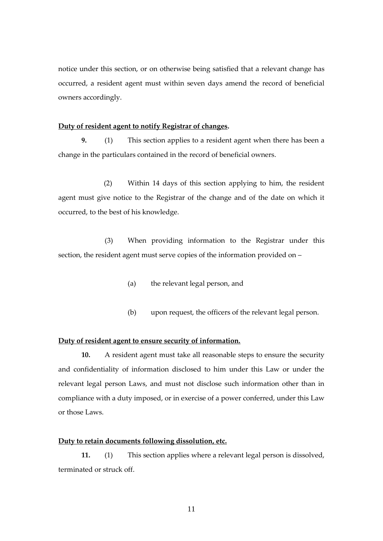notice under this section, or on otherwise being satisfied that a relevant change has occurred, a resident agent must within seven days amend the record of beneficial owners accordingly.

### **Duty of resident agent to notify Registrar of changes.**

**9.** (1) This section applies to a resident agent when there has been a change in the particulars contained in the record of beneficial owners.

(2) Within 14 days of this section applying to him, the resident agent must give notice to the Registrar of the change and of the date on which it occurred, to the best of his knowledge.

(3) When providing information to the Registrar under this section, the resident agent must serve copies of the information provided on –

- (a) the relevant legal person, and
- (b) upon request, the officers of the relevant legal person.

### **Duty of resident agent to ensure security of information.**

**10.** A resident agent must take all reasonable steps to ensure the security and confidentiality of information disclosed to him under this Law or under the relevant legal person Laws, and must not disclose such information other than in compliance with a duty imposed, or in exercise of a power conferred, under this Law or those Laws.

### **Duty to retain documents following dissolution, etc.**

**11.** (1) This section applies where a relevant legal person is dissolved, terminated or struck off.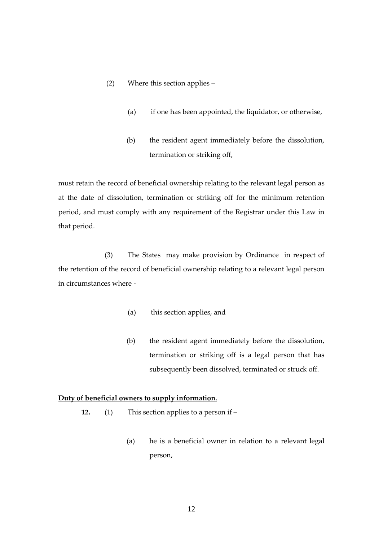### (2) Where this section applies –

- (a) if one has been appointed, the liquidator, or otherwise,
- (b) the resident agent immediately before the dissolution, termination or striking off,

must retain the record of beneficial ownership relating to the relevant legal person as at the date of dissolution, termination or striking off for the minimum retention period, and must comply with any requirement of the Registrar under this Law in that period.

(3) The States may make provision by Ordinance in respect of the retention of the record of beneficial ownership relating to a relevant legal person in circumstances where -

- (a) this section applies, and
- (b) the resident agent immediately before the dissolution, termination or striking off is a legal person that has subsequently been dissolved, terminated or struck off.

### **Duty of beneficial owners to supply information.**

- **12.** (1) This section applies to a person if
	- (a) he is a beneficial owner in relation to a relevant legal person,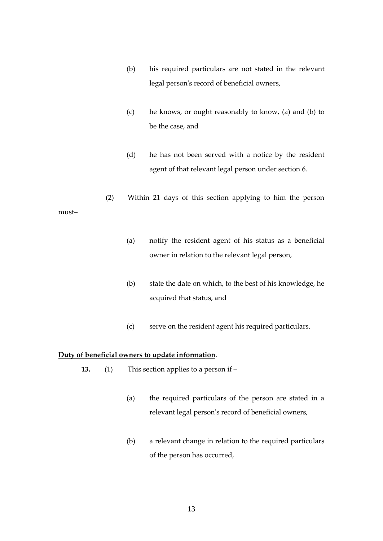- (b) his required particulars are not stated in the relevant legal person's record of beneficial owners,
- (c) he knows, or ought reasonably to know, (a) and (b) to be the case, and
- (d) he has not been served with a notice by the resident agent of that relevant legal person under section 6.
- (2) Within 21 days of this section applying to him the person
	- (a) notify the resident agent of his status as a beneficial owner in relation to the relevant legal person,
	- (b) state the date on which, to the best of his knowledge, he acquired that status, and
	- (c) serve on the resident agent his required particulars.

# **Duty of beneficial owners to update information**.

must–

- **13.** (1) This section applies to a person if
	- (a) the required particulars of the person are stated in a relevant legal person's record of beneficial owners,
	- (b) a relevant change in relation to the required particulars of the person has occurred,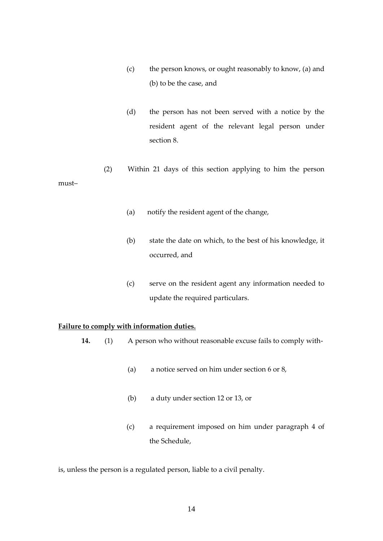- (c) the person knows, or ought reasonably to know, (a) and (b) to be the case, and
- (d) the person has not been served with a notice by the resident agent of the relevant legal person under section 8.
- (2) Within 21 days of this section applying to him the person must–
	- (a) notify the resident agent of the change,
	- (b) state the date on which, to the best of his knowledge, it occurred, and
	- (c) serve on the resident agent any information needed to update the required particulars.

### **Failure to comply with information duties.**

- **14.** (1) A person who without reasonable excuse fails to comply with-
	- (a) a notice served on him under section 6 or 8,
	- (b) a duty under section 12 or 13, or
	- (c) a requirement imposed on him under paragraph 4 of the Schedule,

is, unless the person is a regulated person, liable to a civil penalty.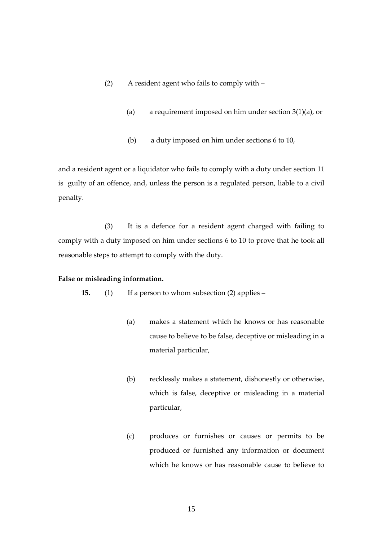- (2) A resident agent who fails to comply with
	- (a) a requirement imposed on him under section  $3(1)(a)$ , or
	- (b) a duty imposed on him under sections 6 to 10,

and a resident agent or a liquidator who fails to comply with a duty under section 11 is guilty of an offence, and, unless the person is a regulated person, liable to a civil penalty.

(3) It is a defence for a resident agent charged with failing to comply with a duty imposed on him under sections 6 to 10 to prove that he took all reasonable steps to attempt to comply with the duty.

### **False or misleading information.**

**15.** (1) If a person to whom subsection (2) applies –

- (a) makes a statement which he knows or has reasonable cause to believe to be false, deceptive or misleading in a material particular,
- (b) recklessly makes a statement, dishonestly or otherwise, which is false, deceptive or misleading in a material particular,
- (c) produces or furnishes or causes or permits to be produced or furnished any information or document which he knows or has reasonable cause to believe to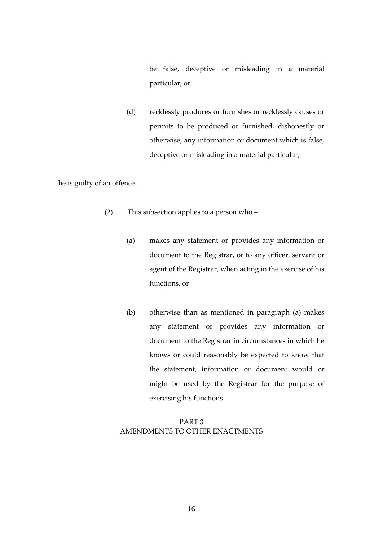be false, deceptive or misleading in a material particular, or

(d) recklessly produces or furnishes or recklessly causes or permits to be produced or furnished, dishonestly or otherwise, any information or document which is false, deceptive or misleading in a material particular,

he is guilty of an offence.

- (2) This subsection applies to a person who
	- (a) makes any statement or provides any information or document to the Registrar, or to any officer, servant or agent of the Registrar, when acting in the exercise of his functions, or
	- (b) otherwise than as mentioned in paragraph (a) makes any statement or provides any information or document to the Registrar in circumstances in which he knows or could reasonably be expected to know that the statement, information or document would or might be used by the Registrar for the purpose of exercising his functions.

# PART 3 AMENDMENTS TO OTHER ENACTMENTS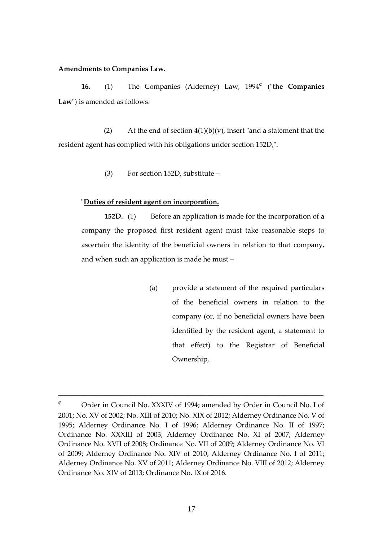### **Amendments to Companies Law.**

**16.** (1) The Companies (Alderney) Law, 1994**<sup>c</sup>** ("**the Companies Law**") is amended as follows.

(2) At the end of section  $4(1)(b)(v)$ , insert "and a statement that the resident agent has complied with his obligations under section 152D,".

(3) For section 152D, substitute –

### "**Duties of resident agent on incorporation.**

**152D.** (1) Before an application is made for the incorporation of a company the proposed first resident agent must take reasonable steps to ascertain the identity of the beneficial owners in relation to that company, and when such an application is made he must –

> (a) provide a statement of the required particulars of the beneficial owners in relation to the company (or, if no beneficial owners have been identified by the resident agent, a statement to that effect) to the Registrar of Beneficial Ownership,

**<sup>c</sup>** Order in Council No. XXXIV of 1994; amended by Order in Council No. I of 2001; No. XV of 2002; No. XIII of 2010; No. XIX of 2012; Alderney Ordinance No. V of 1995; Alderney Ordinance No. I of 1996; Alderney Ordinance No. II of 1997; Ordinance No. XXXIII of 2003; Alderney Ordinance No. XI of 2007; Alderney Ordinance No. XVII of 2008; Ordinance No. VII of 2009; Alderney Ordinance No. VI of 2009; Alderney Ordinance No. XIV of 2010; Alderney Ordinance No. I of 2011; Alderney Ordinance No. XV of 2011; Alderney Ordinance No. VIII of 2012; Alderney Ordinance No. XIV of 2013; Ordinance No. IX of 2016.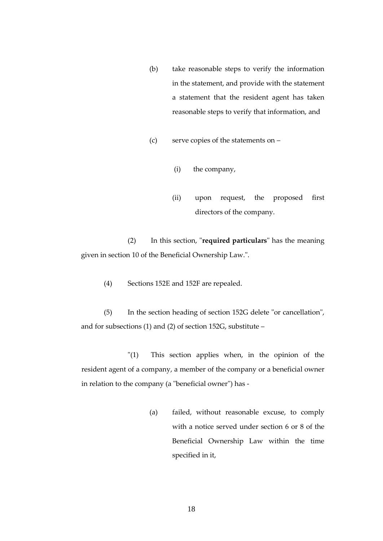- (b) take reasonable steps to verify the information in the statement, and provide with the statement a statement that the resident agent has taken reasonable steps to verify that information, and
- (c) serve copies of the statements on
	- (i) the company,
	- (ii) upon request, the proposed first directors of the company.

(2) In this section, "**required particulars**" has the meaning given in section 10 of the Beneficial Ownership Law.".

(4) Sections 152E and 152F are repealed.

(5) In the section heading of section 152G delete "or cancellation", and for subsections (1) and (2) of section 152G, substitute –

"(1) This section applies when, in the opinion of the resident agent of a company, a member of the company or a beneficial owner in relation to the company (a "beneficial owner") has -

> (a) failed, without reasonable excuse, to comply with a notice served under section 6 or 8 of the Beneficial Ownership Law within the time specified in it,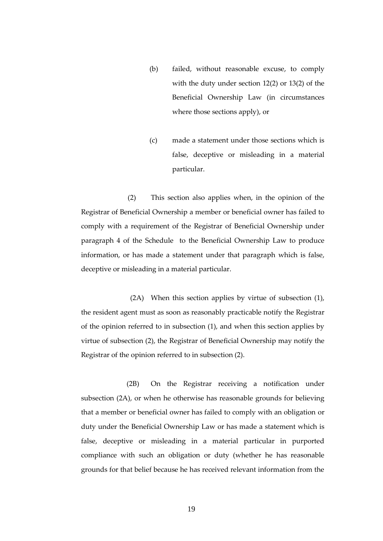- (b) failed, without reasonable excuse, to comply with the duty under section 12(2) or 13(2) of the Beneficial Ownership Law (in circumstances where those sections apply), or
- (c) made a statement under those sections which is false, deceptive or misleading in a material particular.

(2) This section also applies when, in the opinion of the Registrar of Beneficial Ownership a member or beneficial owner has failed to comply with a requirement of the Registrar of Beneficial Ownership under paragraph 4 of the Schedule to the Beneficial Ownership Law to produce information, or has made a statement under that paragraph which is false, deceptive or misleading in a material particular.

 (2A) When this section applies by virtue of subsection (1), the resident agent must as soon as reasonably practicable notify the Registrar of the opinion referred to in subsection (1), and when this section applies by virtue of subsection (2), the Registrar of Beneficial Ownership may notify the Registrar of the opinion referred to in subsection (2).

(2B) On the Registrar receiving a notification under subsection (2A), or when he otherwise has reasonable grounds for believing that a member or beneficial owner has failed to comply with an obligation or duty under the Beneficial Ownership Law or has made a statement which is false, deceptive or misleading in a material particular in purported compliance with such an obligation or duty (whether he has reasonable grounds for that belief because he has received relevant information from the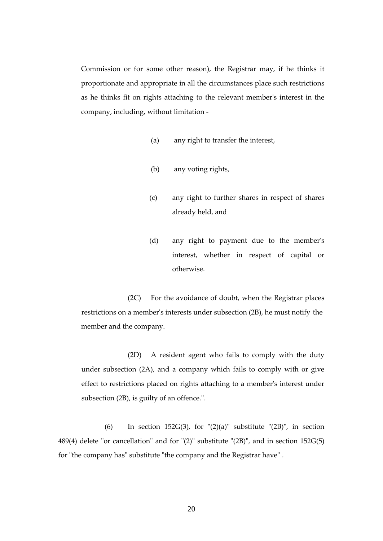Commission or for some other reason), the Registrar may, if he thinks it proportionate and appropriate in all the circumstances place such restrictions as he thinks fit on rights attaching to the relevant member's interest in the company, including, without limitation -

- (a) any right to transfer the interest,
- (b) any voting rights,
- (c) any right to further shares in respect of shares already held, and
- (d) any right to payment due to the member's interest, whether in respect of capital or otherwise.

(2C) For the avoidance of doubt, when the Registrar places restrictions on a member's interests under subsection (2B), he must notify the member and the company.

(2D) A resident agent who fails to comply with the duty under subsection (2A), and a company which fails to comply with or give effect to restrictions placed on rights attaching to a member's interest under subsection (2B), is guilty of an offence.".

(6) In section 152 $G(3)$ , for " $(2)(a)$ " substitute " $(2B)$ ", in section 489(4) delete "or cancellation" and for "(2)" substitute "(2B)", and in section 152G(5) for "the company has" substitute "the company and the Registrar have" .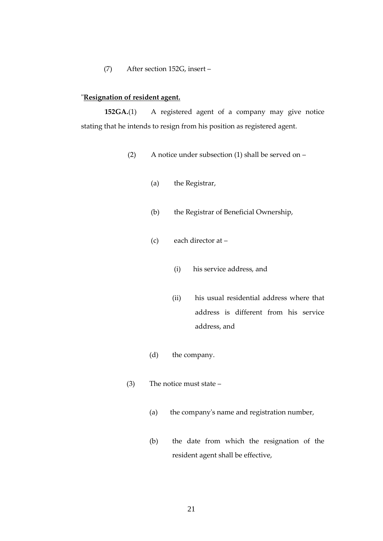### (7) After section 152G, insert –

## "**Resignation of resident agent.**

**152GA.**(1) A registered agent of a company may give notice stating that he intends to resign from his position as registered agent.

- (2) A notice under subsection (1) shall be served on
	- (a) the Registrar,
	- (b) the Registrar of Beneficial Ownership,
	- (c) each director at
		- (i) his service address, and
		- (ii) his usual residential address where that address is different from his service address, and
	- (d) the company.
- (3) The notice must state
	- (a) the company's name and registration number,
	- (b) the date from which the resignation of the resident agent shall be effective,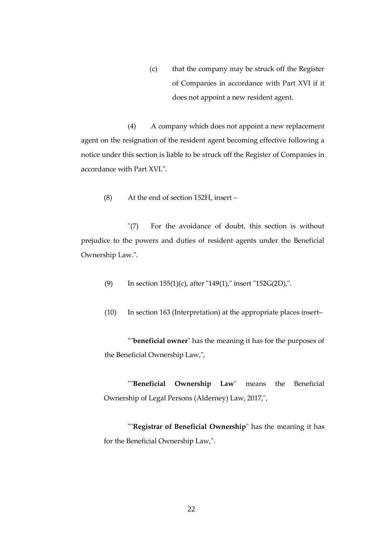(c) that the company may be struck off the Register of Companies in accordance with Part XVI if it does not appoint a new resident agent.

(4) A company which does not appoint a new replacement agent on the resignation of the resident agent becoming effective following a notice under this section is liable to be struck off the Register of Companies in accordance with Part XVI.".

(8) At the end of section 152H, insert –

"(7) For the avoidance of doubt, this section is without prejudice to the powers and duties of resident agents under the Beneficial Ownership Law.".

- (9) In section 155(1)(c), after "149(1)," insert "152G(2D),".
- (10) In section 163 (Interpretation) at the appropriate places insert–

""**beneficial owner**" has the meaning it has for the purposes of the Beneficial Ownership Law,",

""**Beneficial Ownership Law**" means the Beneficial Ownership of Legal Persons (Alderney) Law, 2017,",

""**Registrar of Beneficial Ownership**" has the meaning it has for the Beneficial Ownership Law,".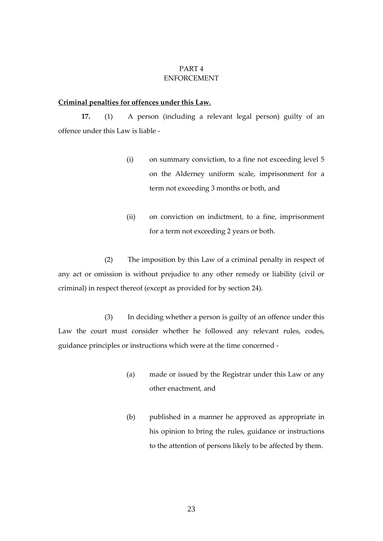### PART 4 ENFORCEMENT

# **Criminal penalties for offences under this Law.**

**17.** (1) A person (including a relevant legal person) guilty of an offence under this Law is liable -

- (i) on summary conviction, to a fine not exceeding level 5 on the Alderney uniform scale, imprisonment for a term not exceeding 3 months or both, and
- (ii) on conviction on indictment, to a fine, imprisonment for a term not exceeding 2 years or both.

(2) The imposition by this Law of a criminal penalty in respect of any act or omission is without prejudice to any other remedy or liability (civil or criminal) in respect thereof (except as provided for by section 24).

(3) In deciding whether a person is guilty of an offence under this Law the court must consider whether he followed any relevant rules, codes, guidance principles or instructions which were at the time concerned -

- (a) made or issued by the Registrar under this Law or any other enactment, and
- (b) published in a manner he approved as appropriate in his opinion to bring the rules, guidance or instructions to the attention of persons likely to be affected by them.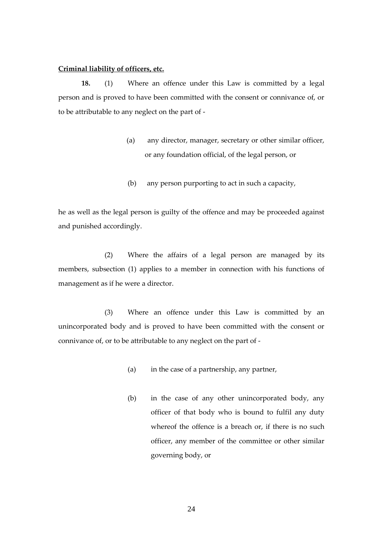### **Criminal liability of officers, etc.**

**18.** (1) Where an offence under this Law is committed by a legal person and is proved to have been committed with the consent or connivance of, or to be attributable to any neglect on the part of -

- (a) any director, manager, secretary or other similar officer, or any foundation official, of the legal person, or
- (b) any person purporting to act in such a capacity,

he as well as the legal person is guilty of the offence and may be proceeded against and punished accordingly.

(2) Where the affairs of a legal person are managed by its members, subsection (1) applies to a member in connection with his functions of management as if he were a director.

(3) Where an offence under this Law is committed by an unincorporated body and is proved to have been committed with the consent or connivance of, or to be attributable to any neglect on the part of -

- (a) in the case of a partnership, any partner,
- (b) in the case of any other unincorporated body, any officer of that body who is bound to fulfil any duty whereof the offence is a breach or, if there is no such officer, any member of the committee or other similar governing body, or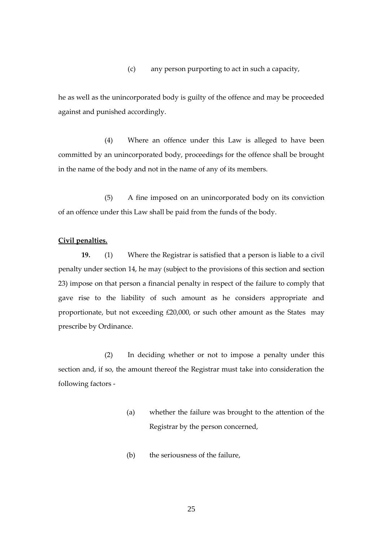(c) any person purporting to act in such a capacity,

he as well as the unincorporated body is guilty of the offence and may be proceeded against and punished accordingly.

(4) Where an offence under this Law is alleged to have been committed by an unincorporated body, proceedings for the offence shall be brought in the name of the body and not in the name of any of its members.

(5) A fine imposed on an unincorporated body on its conviction of an offence under this Law shall be paid from the funds of the body.

### **Civil penalties.**

**19.** (1) Where the Registrar is satisfied that a person is liable to a civil penalty under section 14, he may (subject to the provisions of this section and section 23) impose on that person a financial penalty in respect of the failure to comply that gave rise to the liability of such amount as he considers appropriate and proportionate, but not exceeding £20,000, or such other amount as the States may prescribe by Ordinance.

(2) In deciding whether or not to impose a penalty under this section and, if so, the amount thereof the Registrar must take into consideration the following factors -

- (a) whether the failure was brought to the attention of the Registrar by the person concerned,
- (b) the seriousness of the failure,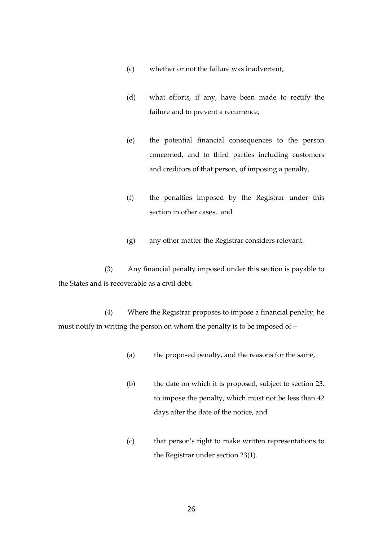- (c) whether or not the failure was inadvertent,
- (d) what efforts, if any, have been made to rectify the failure and to prevent a recurrence,
- (e) the potential financial consequences to the person concerned, and to third parties including customers and creditors of that person, of imposing a penalty,
- (f) the penalties imposed by the Registrar under this section in other cases, and
- (g) any other matter the Registrar considers relevant.

(3) Any financial penalty imposed under this section is payable to the States and is recoverable as a civil debt.

(4) Where the Registrar proposes to impose a financial penalty, he must notify in writing the person on whom the penalty is to be imposed of –

- (a) the proposed penalty, and the reasons for the same,
- (b) the date on which it is proposed, subject to section 23, to impose the penalty, which must not be less than 42 days after the date of the notice, and
- (c) that person's right to make written representations to the Registrar under section 23(1).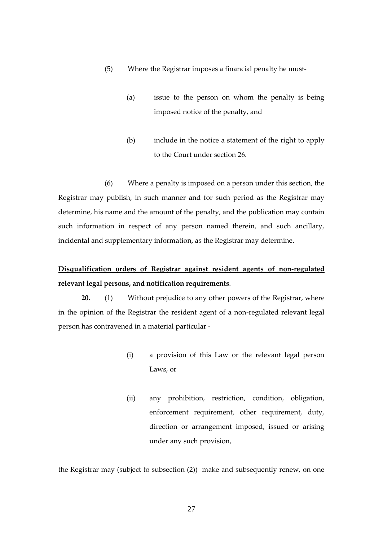- (5) Where the Registrar imposes a financial penalty he must-
	- (a) issue to the person on whom the penalty is being imposed notice of the penalty, and
	- (b) include in the notice a statement of the right to apply to the Court under section 26.

(6) Where a penalty is imposed on a person under this section, the Registrar may publish, in such manner and for such period as the Registrar may determine, his name and the amount of the penalty, and the publication may contain such information in respect of any person named therein, and such ancillary, incidental and supplementary information, as the Registrar may determine.

# **Disqualification orders of Registrar against resident agents of non-regulated relevant legal persons, and notification requirements**.

**20.** (1) Without prejudice to any other powers of the Registrar, where in the opinion of the Registrar the resident agent of a non-regulated relevant legal person has contravened in a material particular -

- (i) a provision of this Law or the relevant legal person Laws, or
- (ii) any prohibition, restriction, condition, obligation, enforcement requirement, other requirement, duty, direction or arrangement imposed, issued or arising under any such provision,

the Registrar may (subject to subsection (2)) make and subsequently renew, on one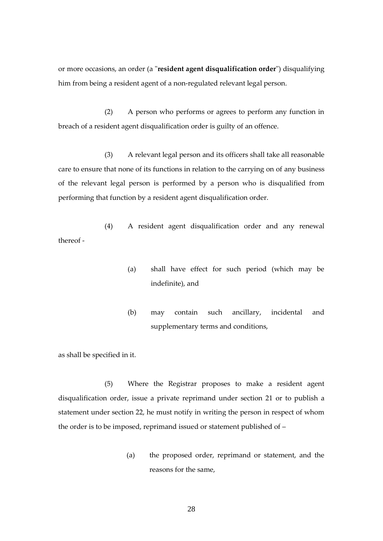or more occasions, an order (a "**resident agent disqualification order**") disqualifying him from being a resident agent of a non-regulated relevant legal person.

(2) A person who performs or agrees to perform any function in breach of a resident agent disqualification order is guilty of an offence.

(3) A relevant legal person and its officers shall take all reasonable care to ensure that none of its functions in relation to the carrying on of any business of the relevant legal person is performed by a person who is disqualified from performing that function by a resident agent disqualification order.

(4) A resident agent disqualification order and any renewal thereof -

- (a) shall have effect for such period (which may be indefinite), and
- (b) may contain such ancillary, incidental and supplementary terms and conditions,

as shall be specified in it.

(5) Where the Registrar proposes to make a resident agent disqualification order, issue a private reprimand under section 21 or to publish a statement under section 22, he must notify in writing the person in respect of whom the order is to be imposed, reprimand issued or statement published of –

> (a) the proposed order, reprimand or statement, and the reasons for the same,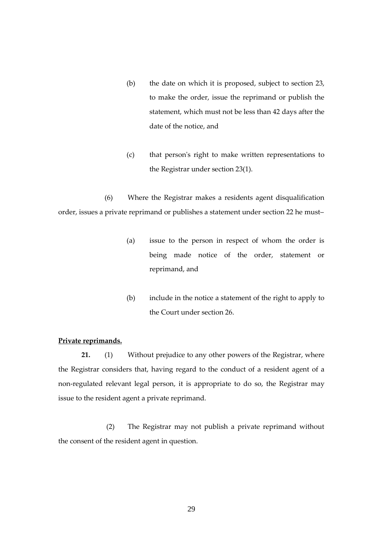- (b) the date on which it is proposed, subject to section 23, to make the order, issue the reprimand or publish the statement, which must not be less than 42 days after the date of the notice, and
- (c) that person's right to make written representations to the Registrar under section 23(1).

(6) Where the Registrar makes a residents agent disqualification order, issues a private reprimand or publishes a statement under section 22 he must–

- (a) issue to the person in respect of whom the order is being made notice of the order, statement or reprimand, and
- (b) include in the notice a statement of the right to apply to the Court under section 26.

## **Private reprimands.**

**21.** (1) Without prejudice to any other powers of the Registrar, where the Registrar considers that, having regard to the conduct of a resident agent of a non-regulated relevant legal person, it is appropriate to do so, the Registrar may issue to the resident agent a private reprimand.

(2) The Registrar may not publish a private reprimand without the consent of the resident agent in question.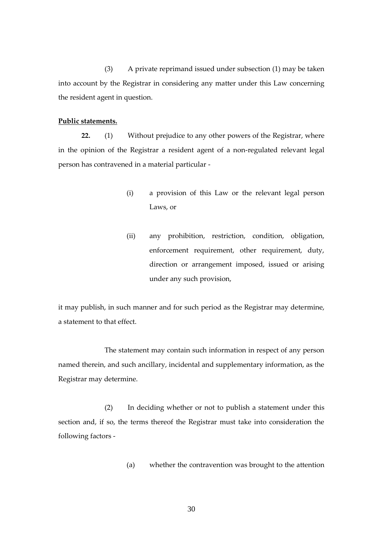(3) A private reprimand issued under subsection (1) may be taken into account by the Registrar in considering any matter under this Law concerning the resident agent in question.

### **Public statements.**

**22.** (1) Without prejudice to any other powers of the Registrar, where in the opinion of the Registrar a resident agent of a non-regulated relevant legal person has contravened in a material particular -

- (i) a provision of this Law or the relevant legal person Laws, or
- (ii) any prohibition, restriction, condition, obligation, enforcement requirement, other requirement, duty, direction or arrangement imposed, issued or arising under any such provision,

it may publish, in such manner and for such period as the Registrar may determine, a statement to that effect.

The statement may contain such information in respect of any person named therein, and such ancillary, incidental and supplementary information, as the Registrar may determine.

(2) In deciding whether or not to publish a statement under this section and, if so, the terms thereof the Registrar must take into consideration the following factors -

(a) whether the contravention was brought to the attention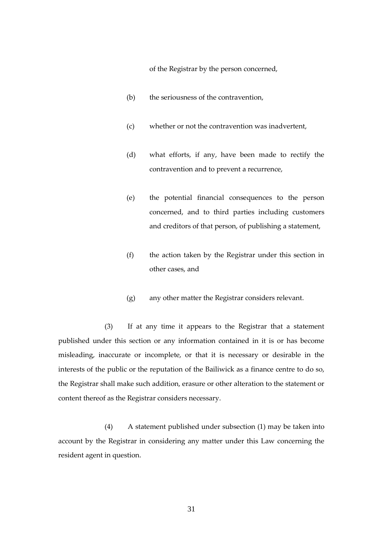of the Registrar by the person concerned,

- (b) the seriousness of the contravention,
- (c) whether or not the contravention was inadvertent,
- (d) what efforts, if any, have been made to rectify the contravention and to prevent a recurrence,
- (e) the potential financial consequences to the person concerned, and to third parties including customers and creditors of that person, of publishing a statement,
- (f) the action taken by the Registrar under this section in other cases, and
- (g) any other matter the Registrar considers relevant.

(3) If at any time it appears to the Registrar that a statement published under this section or any information contained in it is or has become misleading, inaccurate or incomplete, or that it is necessary or desirable in the interests of the public or the reputation of the Bailiwick as a finance centre to do so, the Registrar shall make such addition, erasure or other alteration to the statement or content thereof as the Registrar considers necessary.

(4) A statement published under subsection (1) may be taken into account by the Registrar in considering any matter under this Law concerning the resident agent in question.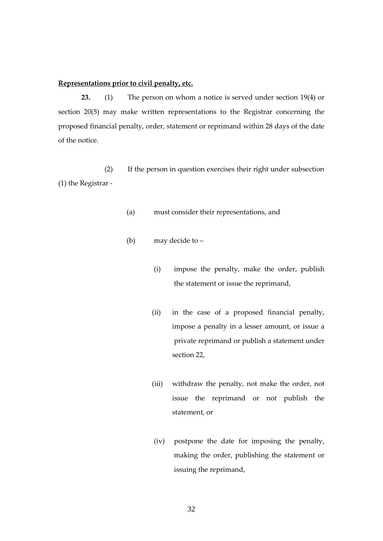### **Representations prior to civil penalty, etc.**

**23.** (1) The person on whom a notice is served under section 19(4) or section 20(5) may make written representations to the Registrar concerning the proposed financial penalty, order, statement or reprimand within 28 days of the date of the notice.

(2) If the person in question exercises their right under subsection (1) the Registrar -

- (a) must consider their representations, and
- (b) may decide to
	- (i) impose the penalty, make the order, publish the statement or issue the reprimand,
	- (ii) in the case of a proposed financial penalty, impose a penalty in a lesser amount, or issue a private reprimand or publish a statement under section 22,
	- (iii) withdraw the penalty, not make the order, not issue the reprimand or not publish the statement, or
	- (iv) postpone the date for imposing the penalty, making the order, publishing the statement or issuing the reprimand,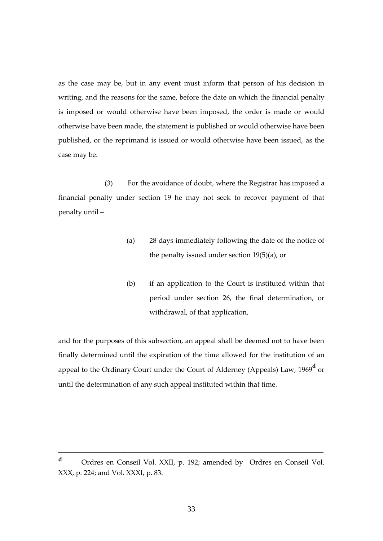as the case may be, but in any event must inform that person of his decision in writing, and the reasons for the same, before the date on which the financial penalty is imposed or would otherwise have been imposed, the order is made or would otherwise have been made, the statement is published or would otherwise have been published, or the reprimand is issued or would otherwise have been issued, as the case may be.

(3) For the avoidance of doubt, where the Registrar has imposed a financial penalty under section 19 he may not seek to recover payment of that penalty until –

- (a) 28 days immediately following the date of the notice of the penalty issued under section 19(5)(a), or
- (b) if an application to the Court is instituted within that period under section 26, the final determination, or withdrawal, of that application,

and for the purposes of this subsection, an appeal shall be deemed not to have been finally determined until the expiration of the time allowed for the institution of an appeal to the Ordinary Court under the Court of Alderney (Appeals) Law, 1969**<sup>d</sup>** or until the determination of any such appeal instituted within that time.

**<sup>d</sup>** Ordres en Conseil Vol. XXII, p. 192; amended by Ordres en Conseil Vol. XXX, p. 224; and Vol. XXXI, p. 83.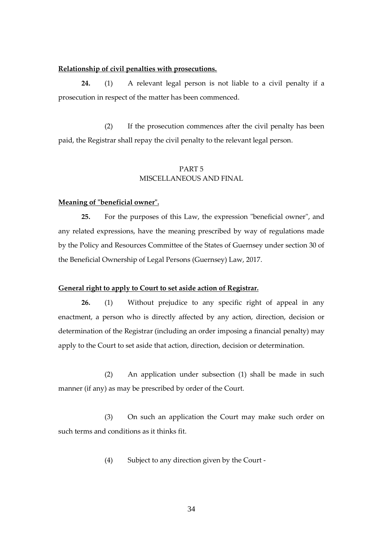### **Relationship of civil penalties with prosecutions.**

**24.** (1) A relevant legal person is not liable to a civil penalty if a prosecution in respect of the matter has been commenced.

(2) If the prosecution commences after the civil penalty has been paid, the Registrar shall repay the civil penalty to the relevant legal person.

# PART 5 MISCELLANEOUS AND FINAL

### **Meaning of "beneficial owner".**

**25.** For the purposes of this Law, the expression "beneficial owner", and any related expressions, have the meaning prescribed by way of regulations made by the Policy and Resources Committee of the States of Guernsey under section 30 of the Beneficial Ownership of Legal Persons (Guernsey) Law, 2017.

### **General right to apply to Court to set aside action of Registrar.**

**26.** (1) Without prejudice to any specific right of appeal in any enactment, a person who is directly affected by any action, direction, decision or determination of the Registrar (including an order imposing a financial penalty) may apply to the Court to set aside that action, direction, decision or determination.

(2) An application under subsection (1) shall be made in such manner (if any) as may be prescribed by order of the Court.

(3) On such an application the Court may make such order on such terms and conditions as it thinks fit.

(4) Subject to any direction given by the Court -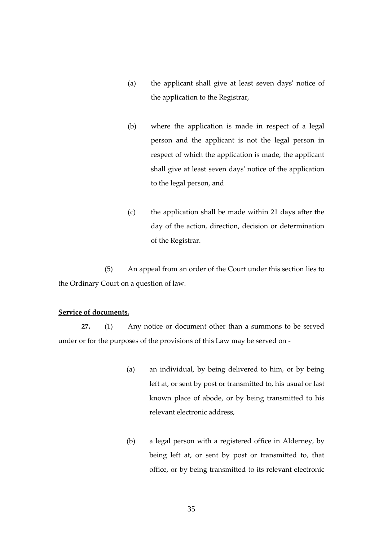- (a) the applicant shall give at least seven days' notice of the application to the Registrar,
- (b) where the application is made in respect of a legal person and the applicant is not the legal person in respect of which the application is made, the applicant shall give at least seven days' notice of the application to the legal person, and
- (c) the application shall be made within 21 days after the day of the action, direction, decision or determination of the Registrar.

(5) An appeal from an order of the Court under this section lies to the Ordinary Court on a question of law.

## **Service of documents.**

**27.** (1) Any notice or document other than a summons to be served under or for the purposes of the provisions of this Law may be served on -

- (a) an individual, by being delivered to him, or by being left at, or sent by post or transmitted to, his usual or last known place of abode, or by being transmitted to his relevant electronic address,
- (b) a legal person with a registered office in Alderney, by being left at, or sent by post or transmitted to, that office, or by being transmitted to its relevant electronic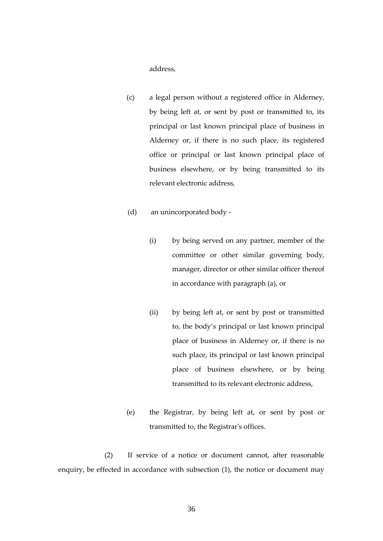address,

- (c) a legal person without a registered office in Alderney, by being left at, or sent by post or transmitted to, its principal or last known principal place of business in Alderney or, if there is no such place, its registered office or principal or last known principal place of business elsewhere, or by being transmitted to its relevant electronic address,
- (d) an unincorporated body
	- (i) by being served on any partner, member of the committee or other similar governing body, manager, director or other similar officer thereof in accordance with paragraph (a), or
	- (ii) by being left at, or sent by post or transmitted to, the body's principal or last known principal place of business in Alderney or, if there is no such place, its principal or last known principal place of business elsewhere, or by being transmitted to its relevant electronic address,
- (e) the Registrar, by being left at, or sent by post or transmitted to, the Registrar's offices.

(2) If service of a notice or document cannot, after reasonable enquiry, be effected in accordance with subsection (1), the notice or document may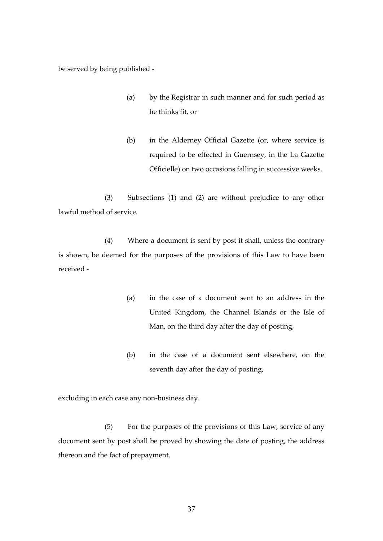be served by being published -

- (a) by the Registrar in such manner and for such period as he thinks fit, or
- (b) in the Alderney Official Gazette (or, where service is required to be effected in Guernsey, in the La Gazette Officielle) on two occasions falling in successive weeks.

(3) Subsections (1) and (2) are without prejudice to any other lawful method of service.

(4) Where a document is sent by post it shall, unless the contrary is shown, be deemed for the purposes of the provisions of this Law to have been received -

- (a) in the case of a document sent to an address in the United Kingdom, the Channel Islands or the Isle of Man, on the third day after the day of posting,
- (b) in the case of a document sent elsewhere, on the seventh day after the day of posting,

excluding in each case any non-business day.

(5) For the purposes of the provisions of this Law, service of any document sent by post shall be proved by showing the date of posting, the address thereon and the fact of prepayment.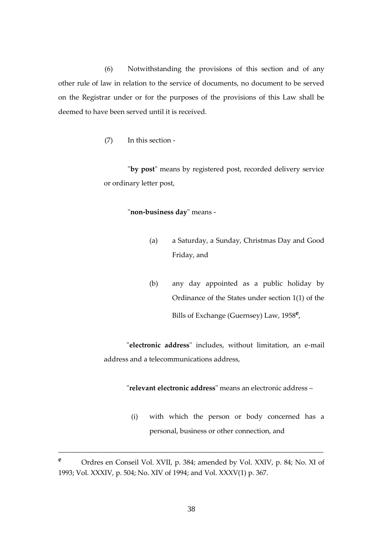(6) Notwithstanding the provisions of this section and of any other rule of law in relation to the service of documents, no document to be served on the Registrar under or for the purposes of the provisions of this Law shall be deemed to have been served until it is received.

(7) In this section -

"**by post**" means by registered post, recorded delivery service or ordinary letter post,

### "**non-business day**" means -

- (a) a Saturday, a Sunday, Christmas Day and Good Friday, and
- (b) any day appointed as a public holiday by Ordinance of the States under section 1(1) of the Bills of Exchange (Guernsey) Law, 1958**<sup>e</sup>** ,

"**electronic address**" includes, without limitation, an e-mail address and a telecommunications address,

"**relevant electronic address**" means an electronic address –

(i) with which the person or body concerned has a personal, business or other connection, and

**<sup>e</sup>** Ordres en Conseil Vol. XVII, p. 384; amended by Vol. XXIV, p. 84; No. XI of 1993; Vol. XXXIV, p. 504; No. XIV of 1994; and Vol. XXXV(1) p. 367.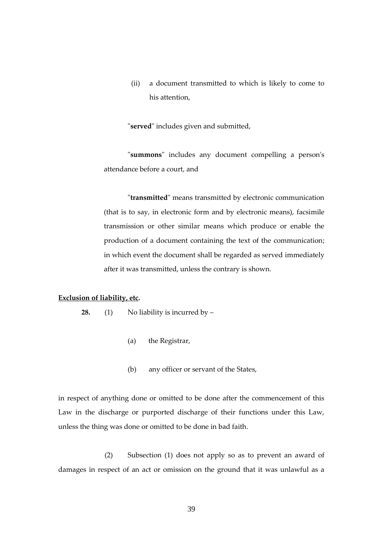(ii) a document transmitted to which is likely to come to his attention,

"**served**" includes given and submitted,

"**summons**" includes any document compelling a person's attendance before a court, and

"**transmitted**" means transmitted by electronic communication (that is to say, in electronic form and by electronic means), facsimile transmission or other similar means which produce or enable the production of a document containing the text of the communication; in which event the document shall be regarded as served immediately after it was transmitted, unless the contrary is shown.

### **Exclusion of liability, etc.**

**28.** (1) No liability is incurred by –

- (a) the Registrar,
- (b) any officer or servant of the States,

in respect of anything done or omitted to be done after the commencement of this Law in the discharge or purported discharge of their functions under this Law, unless the thing was done or omitted to be done in bad faith.

(2) Subsection (1) does not apply so as to prevent an award of damages in respect of an act or omission on the ground that it was unlawful as a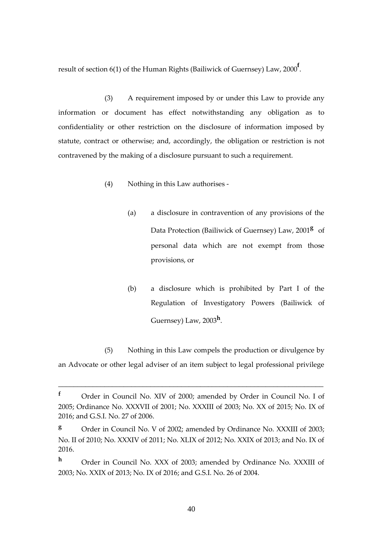result of section 6(1) of the Human Rights (Bailiwick of Guernsey) Law, 2000**<sup>f</sup>** .

(3) A requirement imposed by or under this Law to provide any information or document has effect notwithstanding any obligation as to confidentiality or other restriction on the disclosure of information imposed by statute, contract or otherwise; and, accordingly, the obligation or restriction is not contravened by the making of a disclosure pursuant to such a requirement.

- (4) Nothing in this Law authorises
	- (a) a disclosure in contravention of any provisions of the Data Protection (Bailiwick of Guernsey) Law, 2001**<sup>g</sup>** of personal data which are not exempt from those provisions, or
	- (b) a disclosure which is prohibited by Part I of the Regulation of Investigatory Powers (Bailiwick of Guernsey) Law, 2003**<sup>h</sup>** .

(5) Nothing in this Law compels the production or divulgence by an Advocate or other legal adviser of an item subject to legal professional privilege

**<sup>f</sup>** Order in Council No. XIV of 2000; amended by Order in Council No. I of 2005; Ordinance No. XXXVII of 2001; No. XXXIII of 2003; No. XX of 2015; No. IX of 2016; and G.S.I. No. 27 of 2006.

**<sup>g</sup>** Order in Council No. V of 2002; amended by Ordinance No. XXXIII of 2003; No. II of 2010; No. XXXIV of 2011; No. XLIX of 2012; No. XXIX of 2013; and No. IX of 2016.

**<sup>h</sup>** Order in Council No. XXX of 2003; amended by Ordinance No. XXXIII of 2003; No. XXIX of 2013; No. IX of 2016; and G.S.I. No. 26 of 2004.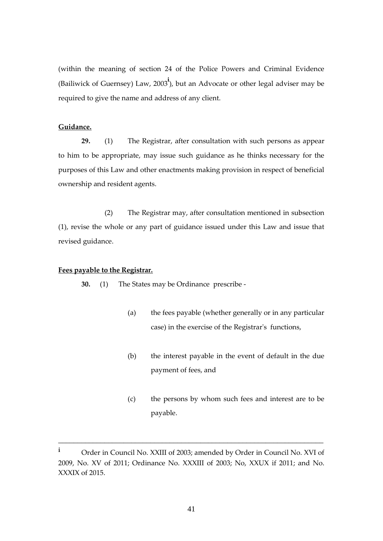(within the meaning of section 24 of the Police Powers and Criminal Evidence (Bailiwick of Guernsey) Law, 2003**<sup>i</sup>** ), but an Advocate or other legal adviser may be required to give the name and address of any client.

### **Guidance.**

**29.** (1) The Registrar, after consultation with such persons as appear to him to be appropriate, may issue such guidance as he thinks necessary for the purposes of this Law and other enactments making provision in respect of beneficial ownership and resident agents.

(2) The Registrar may, after consultation mentioned in subsection (1), revise the whole or any part of guidance issued under this Law and issue that revised guidance.

### **Fees payable to the Registrar.**

**30.** (1) The States may be Ordinance prescribe -

- (a) the fees payable (whether generally or in any particular case) in the exercise of the Registrar's functions,
- (b) the interest payable in the event of default in the due payment of fees, and
- (c) the persons by whom such fees and interest are to be payable.

**<sup>i</sup>** Order in Council No. XXIII of 2003; amended by Order in Council No. XVI of 2009, No. XV of 2011; Ordinance No. XXXIII of 2003; No, XXUX if 2011; and No. XXXIX of 2015.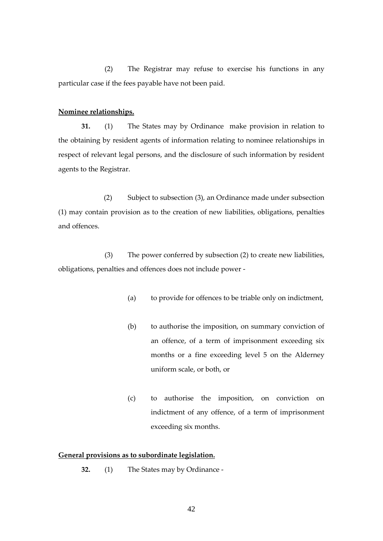(2) The Registrar may refuse to exercise his functions in any particular case if the fees payable have not been paid.

### **Nominee relationships.**

**31.** (1) The States may by Ordinance make provision in relation to the obtaining by resident agents of information relating to nominee relationships in respect of relevant legal persons, and the disclosure of such information by resident agents to the Registrar.

(2) Subject to subsection (3), an Ordinance made under subsection (1) may contain provision as to the creation of new liabilities, obligations, penalties and offences.

(3) The power conferred by subsection (2) to create new liabilities, obligations, penalties and offences does not include power -

- (a) to provide for offences to be triable only on indictment,
- (b) to authorise the imposition, on summary conviction of an offence, of a term of imprisonment exceeding six months or a fine exceeding level 5 on the Alderney uniform scale, or both, or
- (c) to authorise the imposition, on conviction on indictment of any offence, of a term of imprisonment exceeding six months.

### **General provisions as to subordinate legislation.**

**32.** (1) The States may by Ordinance -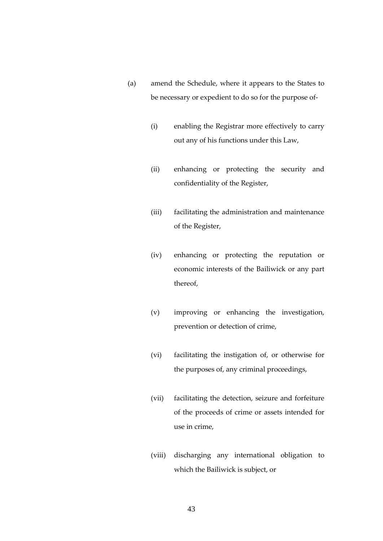- (a) amend the Schedule, where it appears to the States to be necessary or expedient to do so for the purpose of-
	- (i) enabling the Registrar more effectively to carry out any of his functions under this Law,
	- (ii) enhancing or protecting the security and confidentiality of the Register,
	- (iii) facilitating the administration and maintenance of the Register,
	- (iv) enhancing or protecting the reputation or economic interests of the Bailiwick or any part thereof,
	- (v) improving or enhancing the investigation, prevention or detection of crime,
	- (vi) facilitating the instigation of, or otherwise for the purposes of, any criminal proceedings,
	- (vii) facilitating the detection, seizure and forfeiture of the proceeds of crime or assets intended for use in crime,
	- (viii) discharging any international obligation to which the Bailiwick is subject, or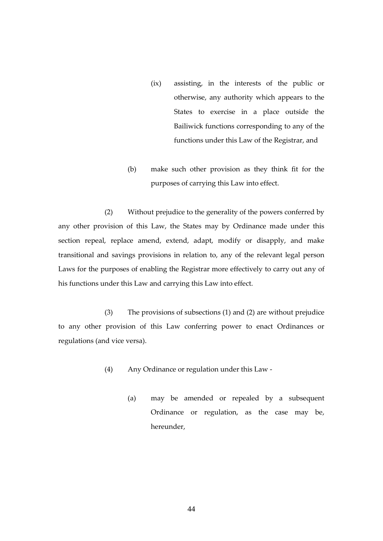- (ix) assisting, in the interests of the public or otherwise, any authority which appears to the States to exercise in a place outside the Bailiwick functions corresponding to any of the functions under this Law of the Registrar, and
- (b) make such other provision as they think fit for the purposes of carrying this Law into effect.

(2) Without prejudice to the generality of the powers conferred by any other provision of this Law, the States may by Ordinance made under this section repeal, replace amend, extend, adapt, modify or disapply, and make transitional and savings provisions in relation to, any of the relevant legal person Laws for the purposes of enabling the Registrar more effectively to carry out any of his functions under this Law and carrying this Law into effect.

(3) The provisions of subsections (1) and (2) are without prejudice to any other provision of this Law conferring power to enact Ordinances or regulations (and vice versa).

- (4) Any Ordinance or regulation under this Law
	- (a) may be amended or repealed by a subsequent Ordinance or regulation, as the case may be, hereunder,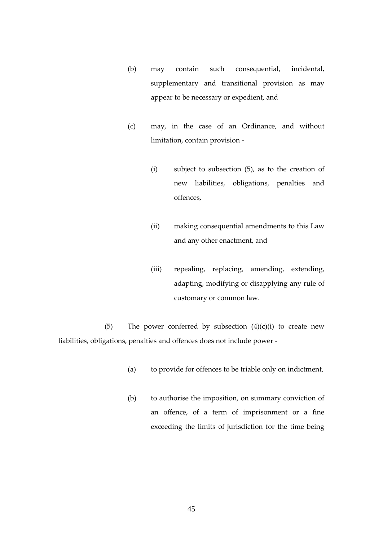- (b) may contain such consequential, incidental, supplementary and transitional provision as may appear to be necessary or expedient, and
- (c) may, in the case of an Ordinance, and without limitation, contain provision -
	- (i) subject to subsection (5), as to the creation of new liabilities, obligations, penalties and offences,
	- (ii) making consequential amendments to this Law and any other enactment, and
	- (iii) repealing, replacing, amending, extending, adapting, modifying or disapplying any rule of customary or common law.

(5) The power conferred by subsection  $(4)(c)(i)$  to create new liabilities, obligations, penalties and offences does not include power -

- (a) to provide for offences to be triable only on indictment,
- (b) to authorise the imposition, on summary conviction of an offence, of a term of imprisonment or a fine exceeding the limits of jurisdiction for the time being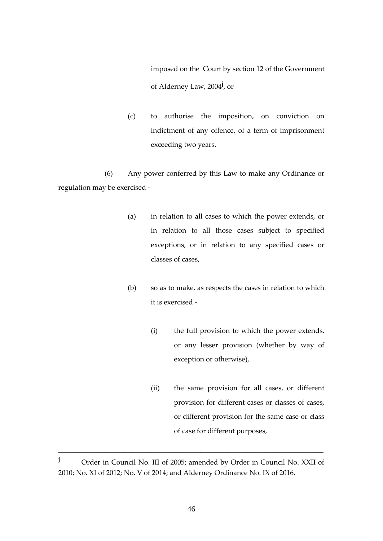imposed on the Court by section 12 of the Government of Alderney Law, 2004 **j** , or

(c) to authorise the imposition, on conviction on indictment of any offence, of a term of imprisonment exceeding two years.

(6) Any power conferred by this Law to make any Ordinance or regulation may be exercised -

- (a) in relation to all cases to which the power extends, or in relation to all those cases subject to specified exceptions, or in relation to any specified cases or classes of cases,
- (b) so as to make, as respects the cases in relation to which it is exercised -
	- (i) the full provision to which the power extends, or any lesser provision (whether by way of exception or otherwise),
	- (ii) the same provision for all cases, or different provision for different cases or classes of cases, or different provision for the same case or class of case for different purposes,

**<sup>j</sup>** Order in Council No. III of 2005; amended by Order in Council No. XXII of 2010; No. XI of 2012; No. V of 2014; and Alderney Ordinance No. IX of 2016.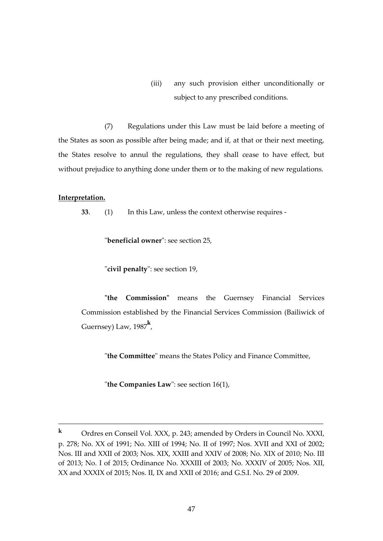(iii) any such provision either unconditionally or subject to any prescribed conditions.

(7) Regulations under this Law must be laid before a meeting of the States as soon as possible after being made; and if, at that or their next meeting, the States resolve to annul the regulations, they shall cease to have effect, but without prejudice to anything done under them or to the making of new regulations.

### **Interpretation.**

**33**. (1) In this Law, unless the context otherwise requires -

"**beneficial owner**": see section 25,

"**civil penalty**": see section 19,

**"the Commission"** means the Guernsey Financial Services Commission established by the Financial Services Commission (Bailiwick of Guernsey) Law, 1987**<sup>k</sup>** ,

"**the Committee**" means the States Policy and Finance Committee,

"**the Companies Law**": see section 16(1),

**<sup>k</sup>** Ordres en Conseil Vol. XXX, p. 243; amended by Orders in Council No. XXXI, p. 278; No. XX of 1991; No. XIII of 1994; No. II of 1997; Nos. XVII and XXI of 2002; Nos. III and XXII of 2003; Nos. XIX, XXIII and XXIV of 2008; No. XIX of 2010; No. III of 2013; No. I of 2015; Ordinance No. XXXIII of 2003; No. XXXIV of 2005; Nos. XII, XX and XXXIX of 2015; Nos. II, IX and XXII of 2016; and G.S.I. No. 29 of 2009.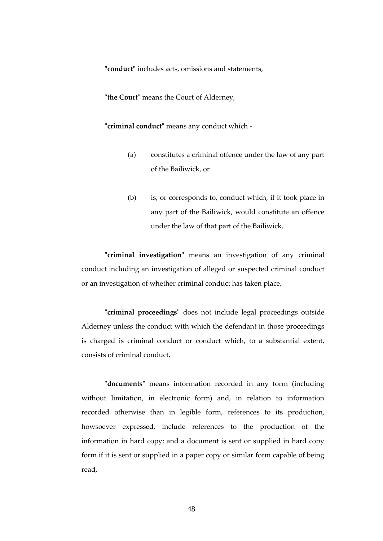**"conduct"** includes acts, omissions and statements,

"**the Court**" means the Court of Alderney,

**"criminal conduct"** means any conduct which -

- (a) constitutes a criminal offence under the law of any part of the Bailiwick, or
- (b) is, or corresponds to, conduct which, if it took place in any part of the Bailiwick, would constitute an offence under the law of that part of the Bailiwick,

**"criminal investigation"** means an investigation of any criminal conduct including an investigation of alleged or suspected criminal conduct or an investigation of whether criminal conduct has taken place,

**"criminal proceedings"** does not include legal proceedings outside Alderney unless the conduct with which the defendant in those proceedings is charged is criminal conduct or conduct which, to a substantial extent, consists of criminal conduct,

"**documents**" means information recorded in any form (including without limitation, in electronic form) and, in relation to information recorded otherwise than in legible form, references to its production, howsoever expressed, include references to the production of the information in hard copy; and a document is sent or supplied in hard copy form if it is sent or supplied in a paper copy or similar form capable of being read,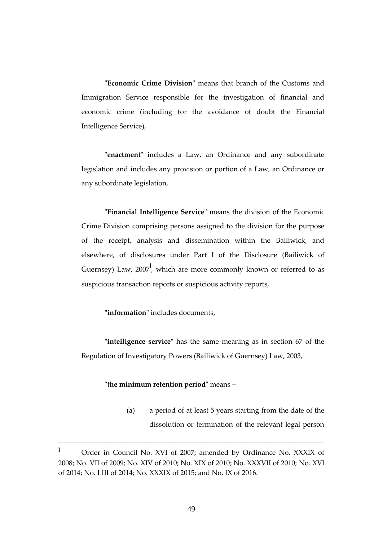"**Economic Crime Division**" means that branch of the Customs and Immigration Service responsible for the investigation of financial and economic crime (including for the avoidance of doubt the Financial Intelligence Service),

"**enactment**" includes a Law, an Ordinance and any subordinate legislation and includes any provision or portion of a Law, an Ordinance or any subordinate legislation,

"**Financial Intelligence Service**" means the division of the Economic Crime Division comprising persons assigned to the division for the purpose of the receipt, analysis and dissemination within the Bailiwick, and elsewhere, of disclosures under Part I of the Disclosure (Bailiwick of Guernsey) Law, 2007<sup>1</sup>, which are more commonly known or referred to as suspicious transaction reports or suspicious activity reports,

**"information"** includes documents,

**"intelligence service"** has the same meaning as in section 67 of the Regulation of Investigatory Powers (Bailiwick of Guernsey) Law, 2003,

"**the minimum retention period**" means –

(a) a period of at least 5 years starting from the date of the dissolution or termination of the relevant legal person

**<sup>l</sup>** Order in Council No. XVI of 2007; amended by Ordinance No. XXXIX of 2008; No. VII of 2009; No. XIV of 2010; No. XIX of 2010; No. XXXVII of 2010; No. XVI of 2014; No. LIII of 2014; No. XXXIX of 2015; and No. IX of 2016.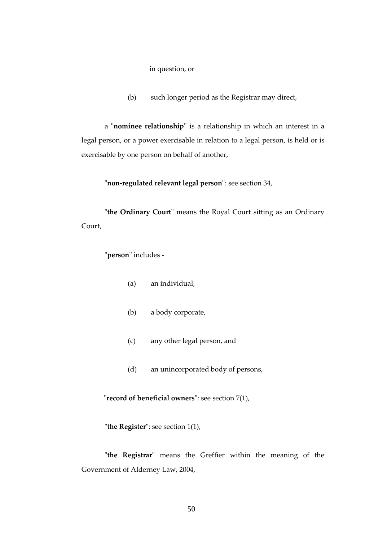in question, or

(b) such longer period as the Registrar may direct,

a "**nominee relationship**" is a relationship in which an interest in a legal person, or a power exercisable in relation to a legal person, is held or is exercisable by one person on behalf of another,

"**non-regulated relevant legal person**": see section 34,

"**the Ordinary Court**" means the Royal Court sitting as an Ordinary Court,

"**person**" includes -

- (a) an individual,
- (b) a body corporate,
- (c) any other legal person, and
- (d) an unincorporated body of persons,

"**record of beneficial owners**": see section 7(1),

"**the Register**": see section 1(1),

"**the Registrar**" means the Greffier within the meaning of the Government of Alderney Law, 2004,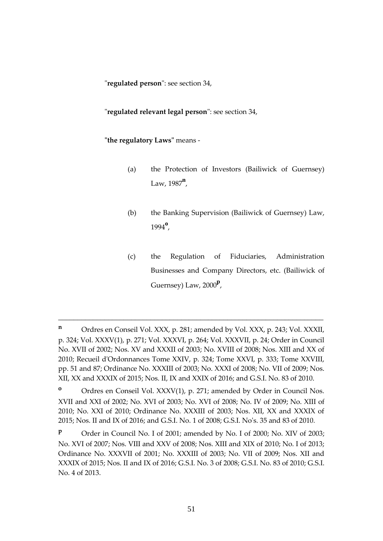"**regulated person**": see section 34,

"**regulated relevant legal person**": see section 34,

**"the regulatory Laws"** means -

- (a) the Protection of Investors (Bailiwick of Guernsey) Law, 1987**<sup>n</sup>** ,
- (b) the Banking Supervision (Bailiwick of Guernsey) Law, <sup>1994</sup>**<sup>o</sup>** ,
- (c) the Regulation of Fiduciaries, Administration Businesses and Company Directors, etc. (Bailiwick of Guernsey) Law, 2000**<sup>p</sup>** ,

\_\_\_\_\_\_\_\_\_\_\_\_\_\_\_\_\_\_\_\_\_\_\_\_\_\_\_\_\_\_\_\_\_\_\_\_\_\_\_\_\_\_\_\_\_\_\_\_\_\_\_\_\_\_\_\_\_\_\_\_\_\_\_\_\_\_\_\_\_

**o** Ordres en Conseil Vol. XXXV(1), p. 271; amended by Order in Council Nos. XVII and XXI of 2002; No. XVI of 2003; No. XVI of 2008; No. IV of 2009; No. XIII of 2010; No. XXI of 2010; Ordinance No. XXXIII of 2003; Nos. XII, XX and XXXIX of 2015; Nos. II and IX of 2016; and G.S.I. No. 1 of 2008; G.S.I. No's. 35 and 83 of 2010*.*

**P** Order in Council No. I of 2001; amended by No. I of 2000; No. XIV of 2003; No. XVI of 2007; Nos. VIII and XXV of 2008; Nos. XIII and XIX of 2010; No. I of 2013; Ordinance No. XXXVII of 2001; No. XXXIII of 2003; No. VII of 2009; Nos. XII and XXXIX of 2015; Nos. II and IX of 2016; G.S.I. No. 3 of 2008; G.S.I. No. 83 of 2010; G.S.I. No. 4 of 2013.

**<sup>n</sup>** Ordres en Conseil Vol. XXX, p. 281; amended by Vol. XXX, p. 243; Vol. XXXII, p. 324; Vol. XXXV(1), p. 271; Vol. XXXVI, p. 264; Vol. XXXVII, p. 24; Order in Council No. XVII of 2002; Nos. XV and XXXII of 2003; No. XVIII of 2008; Nos. XIII and XX of 2010; Recueil d'Ordonnances Tome XXIV, p. 324; Tome XXVI, p. 333; Tome XXVIII, pp. 51 and 87; Ordinance No. XXXIII of 2003; No. XXXI of 2008; No. VII of 2009; Nos. XII, XX and XXXIX of 2015; Nos. II, IX and XXIX of 2016; and G.S.I. No. 83 of 2010.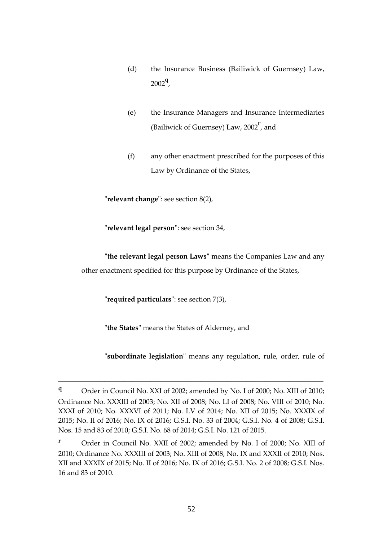- (d) the Insurance Business (Bailiwick of Guernsey) Law, <sup>2002</sup>**<sup>q</sup>** ,
- (e) the Insurance Managers and Insurance Intermediaries (Bailiwick of Guernsey) Law, 2002**<sup>r</sup>** , and
- (f) any other enactment prescribed for the purposes of this Law by Ordinance of the States,

"**relevant change**": see section 8(2),

"**relevant legal person**": see section 34,

**"the relevant legal person Laws"** means the Companies Law and any other enactment specified for this purpose by Ordinance of the States,

"**required particulars**": see section 7(3),

"**the States**" means the States of Alderney, and

"**subordinate legislation**" means any regulation, rule, order, rule of

**<sup>q</sup>** Order in Council No. XXI of 2002; amended by No. I of 2000; No. XIII of 2010; Ordinance No. XXXIII of 2003; No. XII of 2008; No. LI of 2008; No. VIII of 2010; No. XXXI of 2010; No. XXXVI of 2011; No. LV of 2014; No. XII of 2015; No. XXXIX of 2015; No. II of 2016; No. IX of 2016; G.S.I. No. 33 of 2004; G.S.I. No. 4 of 2008; G.S.I. Nos. 15 and 83 of 2010; G.S.I. No. 68 of 2014; G.S.I. No. 121 of 2015.

**<sup>r</sup>** Order in Council No. XXII of 2002; amended by No. I of 2000; No. XIII of 2010; Ordinance No. XXXIII of 2003; No. XIII of 2008; No. IX and XXXII of 2010; Nos. XII and XXXIX of 2015; No. II of 2016; No. IX of 2016; G.S.I. No. 2 of 2008; G.S.I. Nos. 16 and 83 of 2010.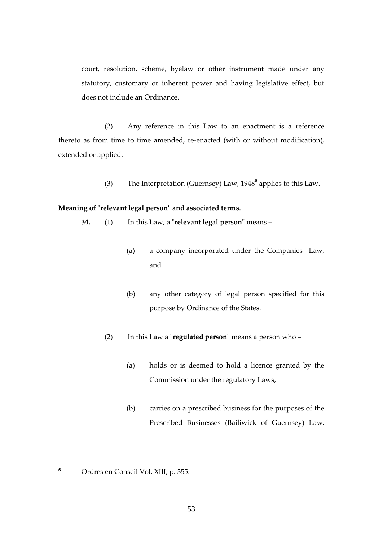court, resolution, scheme, byelaw or other instrument made under any statutory, customary or inherent power and having legislative effect, but does not include an Ordinance.

(2) Any reference in this Law to an enactment is a reference thereto as from time to time amended, re-enacted (with or without modification), extended or applied.

(3) The Interpretation (Guernsey) Law, 1948**<sup>s</sup>** applies to this Law.

# **Meaning of "relevant legal person" and associated terms.**

- **34.** (1) In this Law, a "**relevant legal person**" means
	- (a) a company incorporated under the Companies Law, and
	- (b) any other category of legal person specified for this purpose by Ordinance of the States.
	- (2) In this Law a "**regulated person**" means a person who
		- (a) holds or is deemed to hold a licence granted by the Commission under the regulatory Laws,
		- (b) carries on a prescribed business for the purposes of the Prescribed Businesses (Bailiwick of Guernsey) Law,
- **<sup>s</sup>** Ordres en Conseil Vol. XIII, p. 355.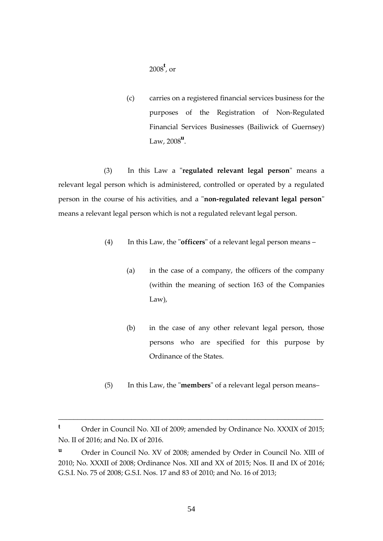<sup>2008</sup>**<sup>t</sup>** , or

(c) carries on a registered financial services business for the purposes of the Registration of Non-Regulated Financial Services Businesses (Bailiwick of Guernsey) Law, 2008**<sup>u</sup>** .

(3) In this Law a "**regulated relevant legal person**" means a relevant legal person which is administered, controlled or operated by a regulated person in the course of his activities, and a "**non-regulated relevant legal person**" means a relevant legal person which is not a regulated relevant legal person.

- (4) In this Law, the "**officers**" of a relevant legal person means
	- (a) in the case of a company, the officers of the company (within the meaning of section 163 of the Companies Law),
	- (b) in the case of any other relevant legal person, those persons who are specified for this purpose by Ordinance of the States.
- (5) In this Law, the "**members**" of a relevant legal person means–

**<sup>t</sup>** Order in Council No. XII of 2009; amended by Ordinance No. XXXIX of 2015; No. II of 2016; and No. IX of 2016.

**<sup>u</sup>** Order in Council No. XV of 2008; amended by Order in Council No. XIII of 2010; No. XXXII of 2008; Ordinance Nos. XII and XX of 2015; Nos. II and IX of 2016; G.S.I. No. 75 of 2008; G.S.I. Nos. 17 and 83 of 2010; and No. 16 of 2013;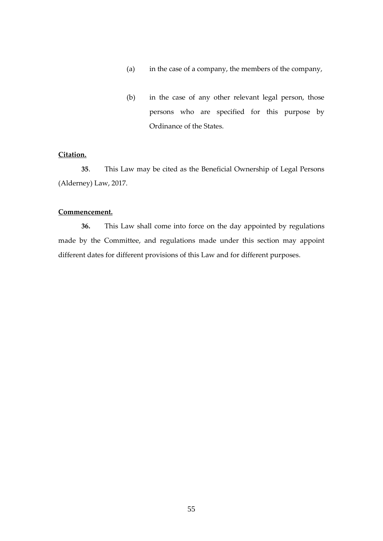- (a) in the case of a company, the members of the company,
- (b) in the case of any other relevant legal person, those persons who are specified for this purpose by Ordinance of the States.

## **Citation.**

**35**. This Law may be cited as the Beneficial Ownership of Legal Persons (Alderney) Law, 2017.

### **Commencement.**

**36.** This Law shall come into force on the day appointed by regulations made by the Committee, and regulations made under this section may appoint different dates for different provisions of this Law and for different purposes.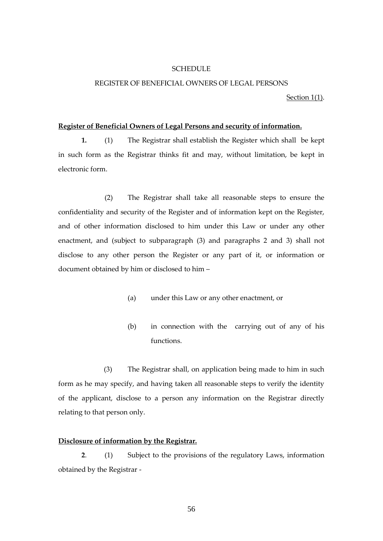### **SCHEDULE**

### REGISTER OF BENEFICIAL OWNERS OF LEGAL PERSONS

Section 1(1).

#### **Register of Beneficial Owners of Legal Persons and security of information.**

**1.** (1) The Registrar shall establish the Register which shall be kept in such form as the Registrar thinks fit and may, without limitation, be kept in electronic form.

(2) The Registrar shall take all reasonable steps to ensure the confidentiality and security of the Register and of information kept on the Register, and of other information disclosed to him under this Law or under any other enactment, and (subject to subparagraph (3) and paragraphs 2 and 3) shall not disclose to any other person the Register or any part of it, or information or document obtained by him or disclosed to him –

- (a) under this Law or any other enactment, or
- (b) in connection with the carrying out of any of his functions.

(3) The Registrar shall, on application being made to him in such form as he may specify, and having taken all reasonable steps to verify the identity of the applicant, disclose to a person any information on the Registrar directly relating to that person only.

### **Disclosure of information by the Registrar.**

**2**. (1) Subject to the provisions of the regulatory Laws, information obtained by the Registrar -

56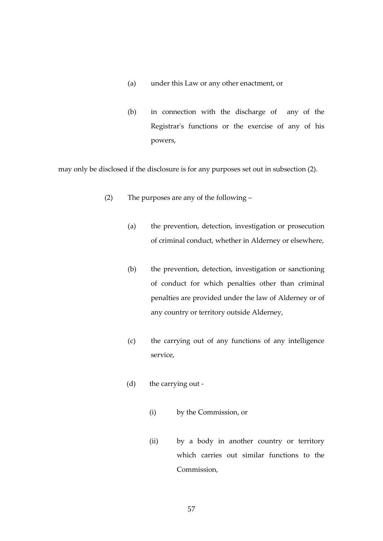- (a) under this Law or any other enactment, or
- (b) in connection with the discharge of any of the Registrar's functions or the exercise of any of his powers,

may only be disclosed if the disclosure is for any purposes set out in subsection (2).

- (2) The purposes are any of the following
	- (a) the prevention, detection, investigation or prosecution of criminal conduct, whether in Alderney or elsewhere,
	- (b) the prevention, detection, investigation or sanctioning of conduct for which penalties other than criminal penalties are provided under the law of Alderney or of any country or territory outside Alderney,
	- (c) the carrying out of any functions of any intelligence service,
	- (d) the carrying out
		- (i) by the Commission, or
		- (ii) by a body in another country or territory which carries out similar functions to the Commission,

57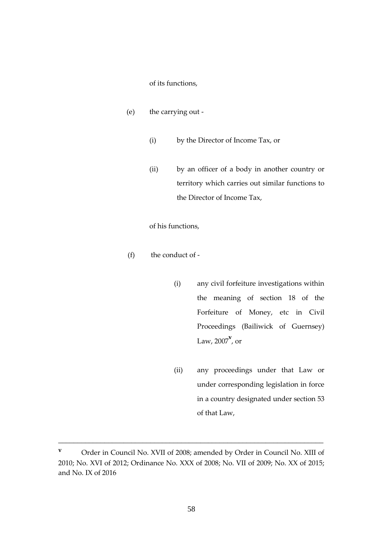### of its functions,

- (e) the carrying out
	- (i) by the Director of Income Tax, or
	- (ii) by an officer of a body in another country or territory which carries out similar functions to the Director of Income Tax,

### of his functions,

- (f) the conduct of
	- (i) any civil forfeiture investigations within the meaning of section 18 of the Forfeiture of Money, etc in Civil Proceedings (Bailiwick of Guernsey) Law, 2007**<sup>v</sup>** , or
	- (ii) any proceedings under that Law or under corresponding legislation in force in a country designated under section 53 of that Law,

**<sup>v</sup>** Order in Council No. XVII of 2008; amended by Order in Council No. XIII of 2010; No. XVI of 2012; Ordinance No. XXX of 2008; No. VII of 2009; No. XX of 2015; and No. IX of 2016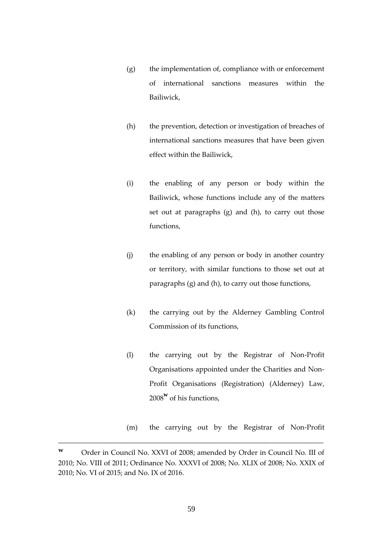- (g) the implementation of, compliance with or enforcement of international sanctions measures within the Bailiwick,
- (h) the prevention, detection or investigation of breaches of international sanctions measures that have been given effect within the Bailiwick,
- (i) the enabling of any person or body within the Bailiwick, whose functions include any of the matters set out at paragraphs (g) and (h), to carry out those functions,
- (j) the enabling of any person or body in another country or territory, with similar functions to those set out at paragraphs (g) and (h), to carry out those functions,
- (k) the carrying out by the Alderney Gambling Control Commission of its functions,
- (l) the carrying out by the Registrar of Non-Profit Organisations appointed under the Charities and Non-Profit Organisations (Registration) (Alderney) Law, <sup>2008</sup>**<sup>w</sup>** of his functions,
- (m) the carrying out by the Registrar of Non-Profit

**<sup>w</sup>** Order in Council No. XXVI of 2008; amended by Order in Council No. III of 2010; No. VIII of 2011; Ordinance No. XXXVI of 2008; No. XLIX of 2008; No. XXIX of 2010; No. VI of 2015; and No. IX of 2016.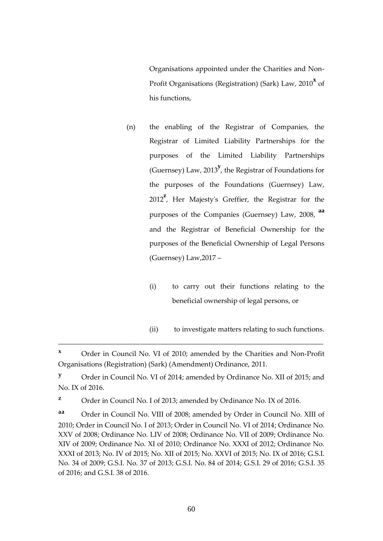Organisations appointed under the Charities and Non-Profit Organisations (Registration) (Sark) Law, 2010<sup>x</sup> of his functions,

- (n) the enabling of the Registrar of Companies, the Registrar of Limited Liability Partnerships for the purposes of the Limited Liability Partnerships (Guernsey) Law, 2013**<sup>y</sup>** , the Registrar of Foundations for the purposes of the Foundations (Guernsey) Law, <sup>2012</sup>**<sup>z</sup>** , Her Majesty's Greffier, the Registrar for the purposes of the Companies (Guernsey) Law, 2008, **aa** and the Registrar of Beneficial Ownership for the purposes of the Beneficial Ownership of Legal Persons (Guernsey) Law,2017 –
	- (i) to carry out their functions relating to the beneficial ownership of legal persons, or
	- (ii) to investigate matters relating to such functions.

\_\_\_\_\_\_\_\_\_\_\_\_\_\_\_\_\_\_\_\_\_\_\_\_\_\_\_\_\_\_\_\_\_\_\_\_\_\_\_\_\_\_\_\_\_\_\_\_\_\_\_\_\_\_\_\_\_\_\_\_\_\_\_\_\_\_\_\_\_

**z** Order in Council No. I of 2013; amended by Ordinance No. IX of 2016.

**aa** Order in Council No. VIII of 2008; amended by Order in Council No. XIII of 2010; Order in Council No. I of 2013; Order in Council No. VI of 2014; Ordinance No. XXV of 2008; Ordinance No. LIV of 2008; Ordinance No. VII of 2009; Ordinance No. XIV of 2009; Ordinance No. XI of 2010; Ordinance No. XXXI of 2012; Ordinance No. XXXI of 2013; No. IV of 2015; No. XII of 2015; No. XXVI of 2015; No. IX of 2016; G.S.I. No. 34 of 2009; G.S.I. No. 37 of 2013; G.S.I. No. 84 of 2014; G.S.I. 29 of 2016; G.S.I. 35 of 2016; and G.S.I. 38 of 2016.

**<sup>x</sup>** Order in Council No. VI of 2010; amended by the Charities and Non-Profit Organisations (Registration) (Sark) (Amendment) Ordinance, 2011.

**<sup>y</sup>** Order in Council No. VI of 2014; amended by Ordinance No. XII of 2015; and No. IX of 2016.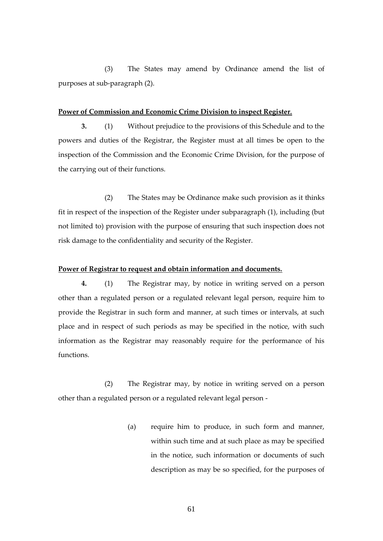(3) The States may amend by Ordinance amend the list of purposes at sub-paragraph (2).

#### **Power of Commission and Economic Crime Division to inspect Register.**

**3.** (1) Without prejudice to the provisions of this Schedule and to the powers and duties of the Registrar, the Register must at all times be open to the inspection of the Commission and the Economic Crime Division, for the purpose of the carrying out of their functions.

(2) The States may be Ordinance make such provision as it thinks fit in respect of the inspection of the Register under subparagraph (1), including (but not limited to) provision with the purpose of ensuring that such inspection does not risk damage to the confidentiality and security of the Register.

### **Power of Registrar to request and obtain information and documents.**

**4.** (1) The Registrar may, by notice in writing served on a person other than a regulated person or a regulated relevant legal person, require him to provide the Registrar in such form and manner, at such times or intervals, at such place and in respect of such periods as may be specified in the notice, with such information as the Registrar may reasonably require for the performance of his functions.

(2) The Registrar may, by notice in writing served on a person other than a regulated person or a regulated relevant legal person -

> (a) require him to produce, in such form and manner, within such time and at such place as may be specified in the notice, such information or documents of such description as may be so specified, for the purposes of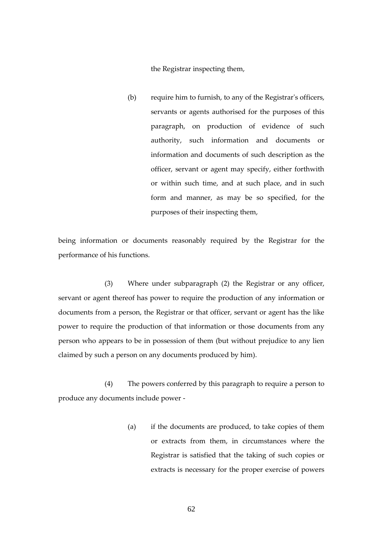the Registrar inspecting them,

(b) require him to furnish, to any of the Registrar's officers, servants or agents authorised for the purposes of this paragraph, on production of evidence of such authority, such information and documents or information and documents of such description as the officer, servant or agent may specify, either forthwith or within such time, and at such place, and in such form and manner, as may be so specified, for the purposes of their inspecting them,

being information or documents reasonably required by the Registrar for the performance of his functions.

(3) Where under subparagraph (2) the Registrar or any officer, servant or agent thereof has power to require the production of any information or documents from a person, the Registrar or that officer, servant or agent has the like power to require the production of that information or those documents from any person who appears to be in possession of them (but without prejudice to any lien claimed by such a person on any documents produced by him).

(4) The powers conferred by this paragraph to require a person to produce any documents include power -

> (a) if the documents are produced, to take copies of them or extracts from them, in circumstances where the Registrar is satisfied that the taking of such copies or extracts is necessary for the proper exercise of powers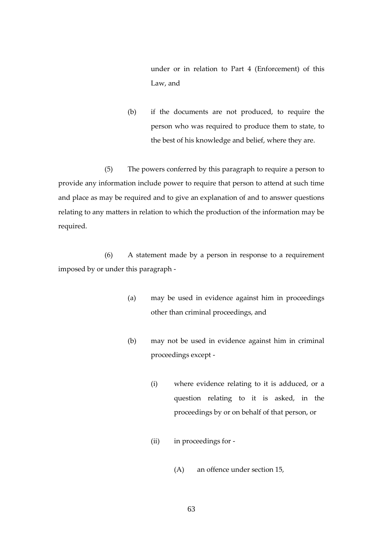under or in relation to Part 4 (Enforcement) of this Law, and

(b) if the documents are not produced, to require the person who was required to produce them to state, to the best of his knowledge and belief, where they are.

(5) The powers conferred by this paragraph to require a person to provide any information include power to require that person to attend at such time and place as may be required and to give an explanation of and to answer questions relating to any matters in relation to which the production of the information may be required.

(6) A statement made by a person in response to a requirement imposed by or under this paragraph -

- (a) may be used in evidence against him in proceedings other than criminal proceedings, and
- (b) may not be used in evidence against him in criminal proceedings except -
	- (i) where evidence relating to it is adduced, or a question relating to it is asked, in the proceedings by or on behalf of that person, or
	- (ii) in proceedings for
		- (A) an offence under section 15,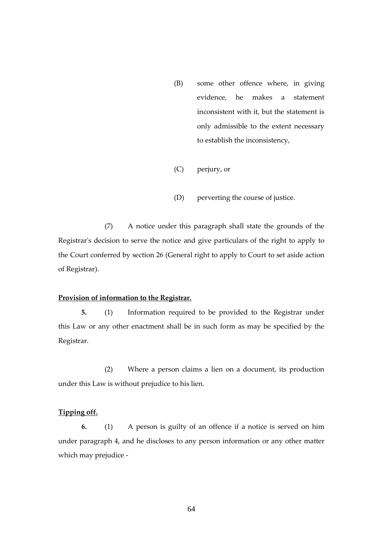- (B) some other offence where, in giving evidence, he makes a statement inconsistent with it, but the statement is only admissible to the extent necessary to establish the inconsistency,
- (C) perjury, or
- (D) perverting the course of justice.

(7) A notice under this paragraph shall state the grounds of the Registrar's decision to serve the notice and give particulars of the right to apply to the Court conferred by section 26 (General right to apply to Court to set aside action of Registrar).

### **Provision of information to the Registrar.**

**5.** (1) Information required to be provided to the Registrar under this Law or any other enactment shall be in such form as may be specified by the Registrar.

(2) Where a person claims a lien on a document, its production under this Law is without prejudice to his lien.

# **Tipping off.**

**6.** (1) A person is guilty of an offence if a notice is served on him under paragraph 4, and he discloses to any person information or any other matter which may prejudice -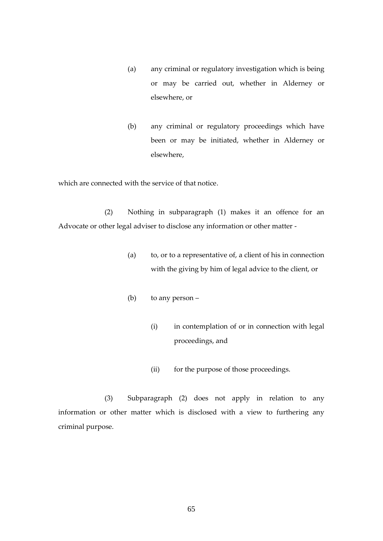- (a) any criminal or regulatory investigation which is being or may be carried out, whether in Alderney or elsewhere, or
- (b) any criminal or regulatory proceedings which have been or may be initiated, whether in Alderney or elsewhere,

which are connected with the service of that notice.

(2) Nothing in subparagraph (1) makes it an offence for an Advocate or other legal adviser to disclose any information or other matter -

- (a) to, or to a representative of, a client of his in connection with the giving by him of legal advice to the client, or
- (b) to any person
	- (i) in contemplation of or in connection with legal proceedings, and
	- (ii) for the purpose of those proceedings.

(3) Subparagraph (2) does not apply in relation to any information or other matter which is disclosed with a view to furthering any criminal purpose.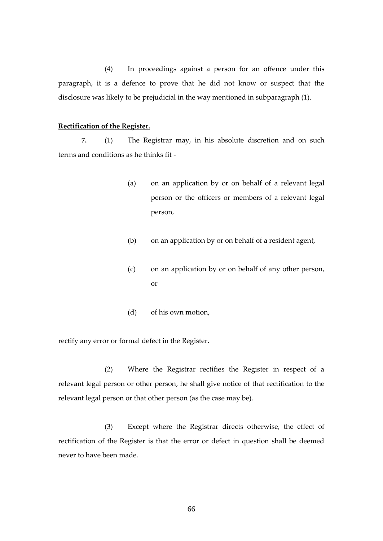(4) In proceedings against a person for an offence under this paragraph, it is a defence to prove that he did not know or suspect that the disclosure was likely to be prejudicial in the way mentioned in subparagraph (1).

### **Rectification of the Register.**

**7.** (1) The Registrar may, in his absolute discretion and on such terms and conditions as he thinks fit -

- (a) on an application by or on behalf of a relevant legal person or the officers or members of a relevant legal person,
- (b) on an application by or on behalf of a resident agent,
- (c) on an application by or on behalf of any other person, or
- (d) of his own motion,

rectify any error or formal defect in the Register.

(2) Where the Registrar rectifies the Register in respect of a relevant legal person or other person, he shall give notice of that rectification to the relevant legal person or that other person (as the case may be).

(3) Except where the Registrar directs otherwise, the effect of rectification of the Register is that the error or defect in question shall be deemed never to have been made.